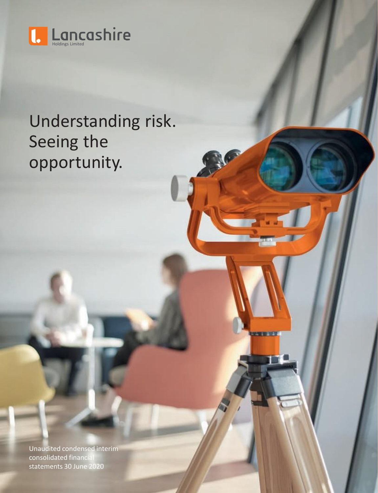

# Understanding risk. Seeing the opportunity.

Unaudited condensed interim consolidated financial statements 30 June 2020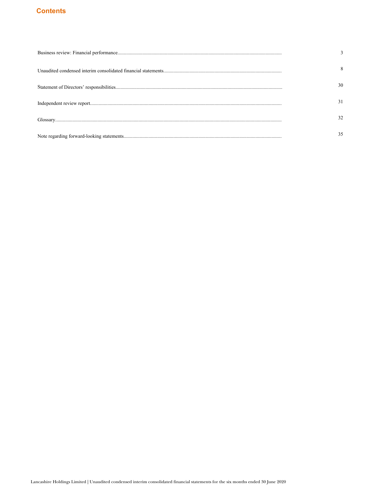# **Contents**

| 8  |
|----|
| 30 |
| 31 |
|    |
|    |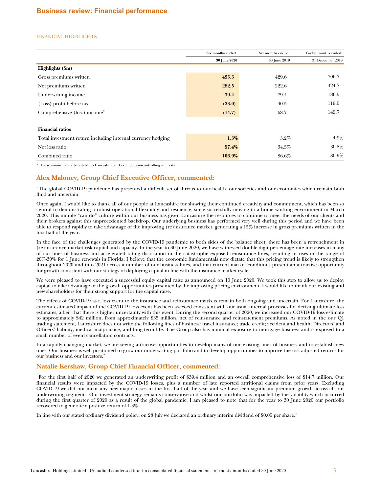# <span id="page-2-0"></span>FINANCIAL HIGHLIGHTS

|                                                             | Six months ended | Six months ended | Twelve months ended |
|-------------------------------------------------------------|------------------|------------------|---------------------|
|                                                             | 30 June 2020     | 30 June 2019     | 31 December 2019    |
| Highlights (\$m)                                            |                  |                  |                     |
| Gross premiums written                                      | 495.5            | 429.6            | 706.7               |
| Net premiums written                                        | 282.5            | 222.6            | 424.7               |
| Underwriting income                                         | 39.4             | 79.4             | 186.5               |
| (Loss) profit before tax                                    | (23.0)           | 40.5             | 119.5               |
| Comprehensive (loss) income*                                | (14.7)           | 68.7             | 145.7               |
|                                                             |                  |                  |                     |
| <b>Financial ratios</b>                                     |                  |                  |                     |
| Total investment return including internal currency hedging | $1.3\%$          | 3.2%             | $4.9\%$             |
| Net loss ratio                                              | 57.4%            | 34.5%            | 30.8%               |
| Combined ratio                                              | 106.9%           | 86.6%            | 80.9%               |

\* These amount are attributable to Lancashire and exclude non-controlling interests.

# **Alex Maloney, Group Chief Executive Officer, commented:**

"The global COVID-19 pandemic has presented a difficult set of threats to our health, our societies and our economies which remain both fluid and uncertain.

Once again, I would like to thank all of our people at Lancashire for showing their continued creativity and commitment, which has been so central to demonstrating a robust operational flexibility and resilience, since successfully moving to a home working environment in March 2020. This nimble "can do" culture within our business has given Lancashire the resources to continue to meet the needs of our clients and their brokers against this unprecedented backdrop. Our underlying business has performed very well during this period and we have been able to respond rapidly to take advantage of the improving (re)insurance market, generating a 15% increase in gross premiums written in the first half of the year.

In the face of the challenges generated by the COVID-19 pandemic to both sides of the balance sheet, there has been a retrenchment in (re)insurance market risk capital and capacity. In the year to 30 June 2020, we have witnessed double-digit percentage rate increases in many of our lines of business and accelerated rating dislocation in the catastrophe exposed reinsurance lines, resulting in rises in the range of 20%-30% for 1 June renewals in Florida. I believe that the economic fundamentals now dictate that this pricing trend is likely to strengthen throughout 2020 and into 2021 across a number of our business lines, and that current market conditions present an attractive opportunity for growth consistent with our strategy of deploying capital in line with the insurance market cycle.

We were pleased to have executed a successful equity capital raise as announced on 10 June 2020. We took this step to allow us to deploy capital to take advantage of the growth opportunities presented by the improving pricing environment. I would like to thank our existing and new shareholders for their strong support for the capital raise.

The effects of COVID-19 as a loss event to the insurance and reinsurance markets remain both ongoing and uncertain. For Lancashire, the current estimated impact of the COVID-19 loss event has been assessed consistent with our usual internal processes for deriving ultimate loss estimates, albeit that there is higher uncertainty with this event. During the second quarter of 2020, we increased our COVID-19 loss estimate to approximately \$42 million, from approximately \$35 million, net of reinsurance and reinstatement premiums. As noted in the our Q1 trading statement, Lancashire does not write the following lines of business: travel insurance; trade credit; accident and health; Directors' and Officers' liability; medical malpractice; and long-term life. The Group also has minimal exposure to mortgage business and is exposed to a small number of event cancellation contracts.

In a rapidly changing market, we are seeing attractive opportunities to develop many of our existing lines of business and to establish new ones. Our business is well positioned to grow our underwriting portfolio and to develop opportunities to improve the risk adjusted returns for our business and our investors."

# **Natalie Kershaw**, **Group Chief Financial Officer**, **commented**:

"For the first half of 2020 we generated an underwriting profit of \$39.4 million and an overall comprehensive loss of \$14.7 million. Our financial results were impacted by the COVID-19 losses, plus a number of late reported attritional claims from prior years. Excluding COVID-19 we did not incur any new major losses in the first half of the year and we have seen significant premium growth across all our underwriting segments. Our investment strategy remains conservative and whilst our portfolio was impacted by the volatility which occurred during the first quarter of 2020 as a result of the global pandemic, I am pleased to note that for the year to 30 June 2020 our portfolio recovered to generate a positive return of 1.3%.

In line with our stated ordinary dividend policy, on 28 July we declared an ordinary interim dividend of \$0.05 per share."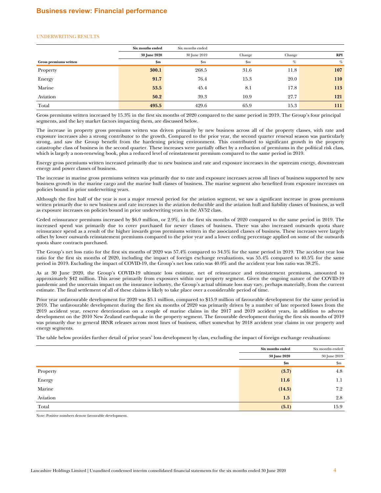### UNDERWRITING RESULTS

|                        | Six months ended    | Six months ended |               |        |            |
|------------------------|---------------------|------------------|---------------|--------|------------|
|                        | <b>30 June 2020</b> | 30 June 2019     | Change        | Change | <b>RPI</b> |
| Gross premiums written | \$m                 | \$m              | $\mathbf{Sm}$ | %      | $\%$       |
| Property               | 300.1               | 268.5            | 31.6          | 11.8   | 107        |
| Energy                 | 91.7                | 76.4             | 15.3          | 20.0   | <b>110</b> |
| Marine                 | 53.5                | 45.4             | 8.1           | 17.8   | 113        |
| Aviation               | 50.2                | 39.3             | 10.9          | 27.7   | 121        |
| Total                  | 495.5               | 429.6            | 65.9          | 15.3   | 111        |

Gross premiums written increased by 15.3% in the first six months of 2020 compared to the same period in 2019. The Group's four principal segments, and the key market factors impacting them, are discussed below.

The increase in property gross premiums written was driven primarily by new business across all of the property classes, with rate and exposure increases also a strong contributor to the growth. Compared to the prior year, the second quarter renewal season was particularly strong, and saw the Group benefit from the hardening pricing environment. This contributed to significant growth in the property catastrophe class of business in the second quarter. These increases were partially offset by a reduction of premiums in the political risk class, which is largely a non-renewing book, plus a reduced level of reinstatement premium compared to the same period in 2019.

Energy gross premiums written increased primarily due to new business and rate and exposure increases in the upstream energy, downstream energy and power classes of business.

The increase in marine gross premiums written was primarily due to rate and exposure increases across all lines of business supported by new business growth in the marine cargo and the marine hull classes of business. The marine segment also benefited from exposure increases on policies bound in prior underwriting years.

Although the first half of the year is not a major renewal period for the aviation segment, we saw a significant increase in gross premiums written primarily due to new business and rate increases in the aviation deductible and the aviation hull and liability classes of business, as well as exposure increases on policies bound in prior underwriting years in the AV52 class.

Ceded reinsurance premiums increased by \$6.0 million, or 2.9%, in the first six months of 2020 compared to the same period in 2019. The increased spend was primarily due to cover purchased for newer classes of business. There was also increased outwards quota share reinsurance spend as a result of the higher inwards gross premiums written in the associated classes of business. These increases were largely offset by lower outwards reinstatement premiums compared to the prior year and a lower ceding percentage applied on some of the outwards quota share contracts purchased.

The Group's net loss ratio for the first six months of 2020 was 57.4% compared to 34.5% for the same period in 2019. The accident year loss ratio for the first six months of 2020, including the impact of foreign exchange revaluations, was 55.4% compared to 40.5% for the same period in 2019. Excluding the impact of COVID-19, the Group's net loss ratio was 40.0% and the accident year loss ratio was 38.2%.

As at 30 June 2020, the Group's COVID-19 ultimate loss estimate, net of reinsurance and reinstatement premiums, amounted to approximately \$42 million. This arose primarily from exposures within our property segment. Given the ongoing nature of the COVID-19 pandemic and the uncertain impact on the insurance industry, the Group's actual ultimate loss may vary, perhaps materially, from the current estimate. The final settlement of all of these claims is likely to take place over a considerable period of time.

Prior year unfavourable development for 2020 was \$5.1 million, compared to \$15.9 million of favourable development for the same period in 2019. The unfavourable development during the first six months of 2020 was primarily driven by a number of late reported losses from the 2019 accident year, reserve deterioration on a couple of marine claims in the 2017 and 2019 accident years, in addition to adverse development on the 2010 New Zealand earthquake in the property segment. The favourable development during the first six months of 2019 was primarily due to general IBNR releases across most lines of business, offset somewhat by 2018 accident year claims in our property and energy segments.

The table below provides further detail of prior years' loss development by class, excluding the impact of foreign exchange revaluations:

|          | Six months ended    | Six months ended |  |
|----------|---------------------|------------------|--|
|          | <b>30 June 2020</b> | 30 June 2019     |  |
|          | \$m\$               | $\mathbf{\$m}$   |  |
| Property | (3.7)               | 4.8              |  |
| Energy   | 11.6                | 1.1              |  |
| Marine   | (14.5)              | 7.2              |  |
| Aviation | 1.5                 | 2.8              |  |
| Total    | (5.1)               | 15.9             |  |

Note: Positive numbers denote favourable development.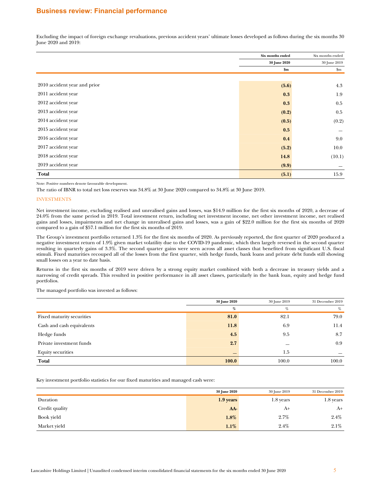# **Business review: Financial performance**

Excluding the impact of foreign exchange revaluations, previous accident years' ultimate losses developed as follows during the six months 30 June 2020 and 2019:

|                              | Six months ended | Six months ended |
|------------------------------|------------------|------------------|
|                              | 30 June 2020     | 30 June 2019     |
|                              | $\mathbf{\$m}$   | \$m              |
|                              |                  |                  |
| 2010 accident year and prior | (5.6)            | 4.3              |
| 2011 accident year           | 0.3              | 1.9              |
| 2012 accident year           | 0.3              | 0.5              |
| 2013 accident year           | (0.2)            | 0.5              |
| 2014 accident year           | (0.5)            | (0.2)            |
| 2015 accident year           | 0.5              |                  |
| 2016 accident year           | 0.4              | 9.0              |
| 2017 accident year           | (5.2)            | 10.0             |
| 2018 accident year           | 14.8             | (10.1)           |
| 2019 accident year           | (9.9)            |                  |
| Total                        | (5.1)            | 15.9             |

Note: Positive numbers denote favourable development.

The ratio of IBNR to total net loss reserves was 34.8% at 30 June 2020 compared to 34.8% at 30 June 2019.

#### INVESTMENTS

Net investment income, excluding realised and unrealised gains and losses, was \$14.9 million for the first six months of 2020, a decrease of 24.0% from the same period in 2019. Total investment return, including net investment income, net other investment income, net realised gains and losses, impairments and net change in unrealised gains and losses, was a gain of \$22.0 million for the first six months of 2020 compared to a gain of \$57.1 million for the first six months of 2019.

The Group's investment portfolio returned 1.3% for the first six months of 2020. As previously reported, the first quarter of 2020 produced a negative investment return of 1.9% given market volatility due to the COVID-19 pandemic, which then largely reversed in the second quarter resulting in quarterly gains of 3.3%. The second quarter gains were seen across all asset classes that benefited from significant U.S. fiscal stimuli. Fixed maturities recouped all of the losses from the first quarter, with hedge funds, bank loans and private debt funds still showing small losses on a year to date basis.

Returns in the first six months of 2019 were driven by a strong equity market combined with both a decrease in treasury yields and a narrowing of credit spreads. This resulted in positive performance in all asset classes, particularly in the bank loan, equity and hedge fund portfolios.

The managed portfolio was invested as follows:

|                           | 30 June 2020 | 30 June 2019 | 31 December 2019 |
|---------------------------|--------------|--------------|------------------|
|                           | %            | %            | %                |
| Fixed maturity securities | 81.0         | 82.1         | 79.0             |
| Cash and cash equivalents | 11.8         | 6.9          | 11.4             |
| Hedge funds               | 4.5          | 9.5          | 8.7              |
| Private investment funds  | 2.7          |              | 0.9              |
| <b>Equity securities</b>  |              | 1.5          |                  |
| Total                     | 100.0        | 100.0        | 100.0            |

Key investment portfolio statistics for our fixed maturities and managed cash were:

|                | <b>30 June 2020</b> | 30 June 2019 | 31 December 2019 |
|----------------|---------------------|--------------|------------------|
| Duration       | $1.9$ years         | 1.8 years    | 1.8 years        |
| Credit quality | AA-                 | A+           | $A+$             |
| Book yield     | 1.8%                | 2.7%         | 2.4%             |
| Market yield   | $1.1\%$             | 2.4%         | 2.1%             |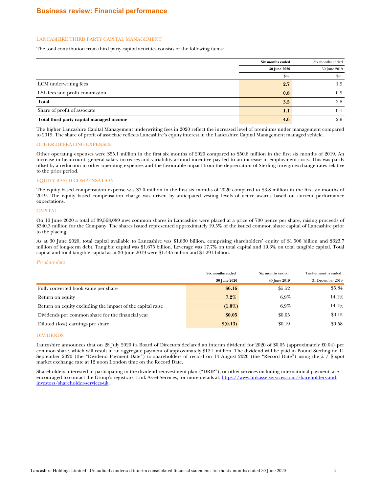### LANCASHIRE THIRD PARTY CAPITAL MANAGEMENT

The total contribution from third party capital activities consists of the following items:

|                                          | Six months ended | Six months ended |
|------------------------------------------|------------------|------------------|
|                                          | 30 June 2020     | 30 June 2019     |
|                                          | \$m\$            | \$m              |
| LCM underwriting fees                    | 2.7              | 1.9              |
| LSL fees and profit commission           | 0.8              | 0.9              |
| Total                                    | 3.5              | 2.8              |
| Share of profit of associate             | 1.1              | 0.1              |
| Total third party capital managed income | 4.6              | 2.9              |

The higher Lancashire Capital Management underwriting fees in 2020 reflect the increased level of premiums under management compared to 2019. The share of profit of associate reflects Lancashire's equity interest in the Lancashire Capital Management managed vehicle.

### OTHER OPERATING EXPENSES

Other operating expenses were \$55.1 million in the first six months of 2020 compared to \$50.8 million in the first six months of 2019. An increase in headcount, general salary increases and variability around incentive pay led to an increase in employment costs. This was partly offset by a reduction in other operating expenses and the favourable impact from the depreciation of Sterling foreign exchange rates relative to the prior period.

# EQUITY BASED COMPENSATION

The equity based compensation expense was \$7.0 million in the first six months of 2020 compared to \$3.8 million in the first six months of 2019. The equity based compensation charge was driven by anticipated vesting levels of active awards based on current performance expectations.

### **CAPITAL**

On 10 June 2020 a total of 39,568,089 new common shares in Lancashire were placed at a price of 700 pence per share, raising proceeds of \$340.3 million for the Company. The shares issued represented approximately 19.5% of the issued common share capital of Lancashire prior to the placing.

As at 30 June 2020, total capital available to Lancashire was \$1.830 billion, comprising shareholders' equity of \$1.506 billion and \$323.7 million of long-term debt. Tangible capital was \$1.675 billion. Leverage was 17.7% on total capital and 19.3% on total tangible capital. Total capital and total tangible capital as at 30 June 2019 were \$1.445 billion and \$1.291 billion.

#### *Per share data*

|                                                            | Six months ended | Six months ended | Twelve months ended |
|------------------------------------------------------------|------------------|------------------|---------------------|
|                                                            | 30 June 2020     | 30 June 2019     | 31 December 2019    |
| Fully converted book value per share                       | \$6.16           | \$5.52           | \$5.84              |
| Return on equity                                           | $7.2\%$          | $6.9\%$          | 14.1%               |
| Return on equity excluding the impact of the capital raise | $(1.0\%)$        | $6.9\%$          | 14.1%               |
| Dividends per common share for the financial year          | \$0.05           | \$0.05           | \$0.15              |
| Diluted (loss) earnings per share                          | \$(0.13)         | \$0.19           | \$0.58              |

### DIVIDENDS

Lancashire announces that on 28 July 2020 its Board of Directors declared an interim dividend for 2020 of \$0.05 (approximately £0.04) per common share, which will result in an aggregate payment of approximately \$12.1 million. The dividend will be paid in Pound Sterling on 11 September 2020 (the "Dividend Payment Date") to shareholders of record on 14 August 2020 (the "Record Date") using the £ / \$ spot market exchange rate at 12 noon London time on the Record Date.

Shareholders interested in participating in the dividend reinvestment plan ("DRIP"), or other services including international payment, are encouraged to contact the Group's registrars, Link Asset Services, for more details at: [https://www.linkassetservices.com/shareholders-and](https://www.linkassetservices.com/shareholders-and-investors/shareholder-services-uk)[investors/shareholder-services-uk](https://www.linkassetservices.com/shareholders-and-investors/shareholder-services-uk).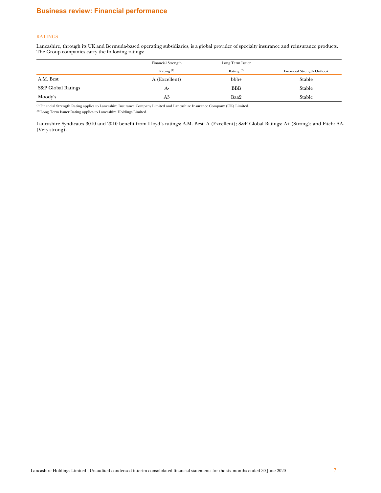# **Business review: Financial performance**

# **RATINGS**

Lancashire, through its UK and Bermuda-based operating subsidiaries, is a global provider of specialty insurance and reinsurance products. The Group companies carry the following ratings:

|                    | <b>Financial Strength</b> | Long Term Issuer |                            |
|--------------------|---------------------------|------------------|----------------------------|
|                    | Rating $(1)$              | Rating $(2)$     | Financial Strength Outlook |
| A.M. Best          | A (Excellent)             | $bbb +$          | Stable                     |
| S&P Global Ratings | A-                        | <b>BBB</b>       | Stable                     |
| Moody's            | A3                        | Baa2             | Stable                     |

 $^{\rm (1)}$  Financial Strength Rating applies to Lancashire Insurance Company Limited and Lancashire Insurance Company (UK) Limited.

(2) Long Term Issuer Rating applies to Lancashire Holdings Limited.

Lancashire Syndicates 3010 and 2010 benefit from Lloyd's ratings: A.M. Best: A (Excellent); S&P Global Ratings: A+ (Strong); and Fitch: AA- (Very strong).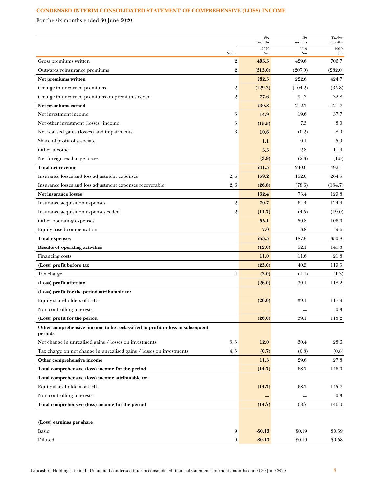# <span id="page-7-0"></span>**CONDENSED INTERIM CONSOLIDATED STATEMENT OF COMPREHENSIVE (LOSS) INCOME**

For the six months ended 30 June 2020

|                                                                                          |                            | <b>Six</b><br>months | Six<br>months        | Twelve<br>months                   |
|------------------------------------------------------------------------------------------|----------------------------|----------------------|----------------------|------------------------------------|
|                                                                                          |                            | 2020                 | 2019                 | 2019                               |
| Notes<br>Gross premiums written                                                          | $\overline{2}$             | \$m\$<br>495.5       | $_{\rm sm}$<br>429.6 | $\mathbf{S}_{\mathbf{m}}$<br>706.7 |
| Outwards reinsurance premiums                                                            | $\overline{2}$             | (213.0)              | (207.0)              | (282.0)                            |
| Net premiums written                                                                     |                            | 282.5                | 222.6                | 424.7                              |
| Change in unearned premiums                                                              | $\overline{2}$             | (129.3)              | (104.2)              | (35.8)                             |
| Change in unearned premiums on premiums ceded                                            | $\overline{2}$             | 77.6                 | 94.3                 | 32.8                               |
| Net premiums earned                                                                      |                            | 230.8                | 212.7                | 421.7                              |
| Net investment income                                                                    | $\boldsymbol{\mathcal{S}}$ | 14.9                 | 19.6                 | 37.7                               |
| Net other investment (losses) income                                                     | 3                          | (15.5)               | 7.3                  | 8.0                                |
| Net realised gains (losses) and impairments                                              | 3                          | 10.6                 | (0.2)                | 8.9                                |
| Share of profit of associate                                                             |                            | 1.1                  | 0.1                  | 5.9                                |
| Other income                                                                             |                            | 3.5                  | 2.8                  | 11.4                               |
| Net foreign exchange losses                                                              |                            | (3.9)                | (2.3)                | (1.5)                              |
| Total net revenue                                                                        |                            | 241.5                | 240.0                | 492.1                              |
| Insurance losses and loss adjustment expenses                                            | 2, 6                       | 159.2                | 152.0                | 264.5                              |
| Insurance losses and loss adjustment expenses recoverable                                | 2, 6                       | (26.8)               | (78.6)               | (134.7)                            |
| <b>Net insurance losses</b>                                                              |                            | 132.4                | 73.4                 | 129.8                              |
| Insurance acquisition expenses                                                           | $\overline{2}$             | 70.7                 | 64.4                 | 124.4                              |
| Insurance acquisition expenses ceded                                                     | $\overline{2}$             | (11.7)               | (4.5)                | (19.0)                             |
| Other operating expenses                                                                 |                            | 55.1                 | 50.8                 | 106.0                              |
| Equity based compensation                                                                |                            | 7.0                  | 3.8                  | 9.6                                |
| <b>Total expenses</b>                                                                    |                            | 253.5                | 187.9                | 350.8                              |
| <b>Results of operating activities</b>                                                   |                            | (12.0)               | 52.1                 | 141.3                              |
| Financing costs                                                                          |                            | 11.0                 | 11.6                 | 21.8                               |
| (Loss) profit before tax                                                                 |                            | (23.0)               | 40.5                 | 119.5                              |
| Tax charge                                                                               | $\overline{4}$             | (3.0)                | (1.4)                | (1.3)                              |
| (Loss) profit after tax                                                                  |                            | (26.0)               | 39.1                 | 118.2                              |
| (Loss) profit for the period attributable to:                                            |                            |                      |                      |                                    |
| Equity shareholders of LHL                                                               |                            | (26.0)               | 39.1                 | 117.9                              |
| Non-controlling interests                                                                |                            |                      |                      | 0.3                                |
| (Loss) profit for the period                                                             |                            | (26.0)               | 39.1                 | 118.2                              |
| Other comprehensive income to be reclassified to profit or loss in subsequent<br>periods |                            |                      |                      |                                    |
| Net change in unrealised gains / losses on investments                                   | 3, 5                       | 12.0                 | 30.4                 | 28.6                               |
| Tax charge on net change in unrealised gains / losses on investments                     | 4, 5                       | (0.7)                | (0.8)                | (0.8)                              |
| Other comprehensive income                                                               |                            | 11.3                 | 29.6                 | 27.8                               |
| Total comprehensive (loss) income for the period                                         |                            | (14.7)               | 68.7                 | 146.0                              |
| Total comprehensive (loss) income attributable to:                                       |                            |                      |                      |                                    |
| Equity shareholders of LHL                                                               |                            | (14.7)               | 68.7                 | 145.7                              |
| Non-controlling interests                                                                |                            |                      |                      | 0.3                                |
| Total comprehensive (loss) income for the period                                         |                            | (14.7)               | 68.7                 | 146.0                              |
|                                                                                          |                            |                      |                      |                                    |
| (Loss) earnings per share                                                                |                            |                      |                      |                                    |
| Basic                                                                                    | 9                          | $-$0.13$             | \$0.19               | \$0.59                             |
| Diluted                                                                                  | 9                          | $-$ \$0.13           | \$0.19               | \$0.58                             |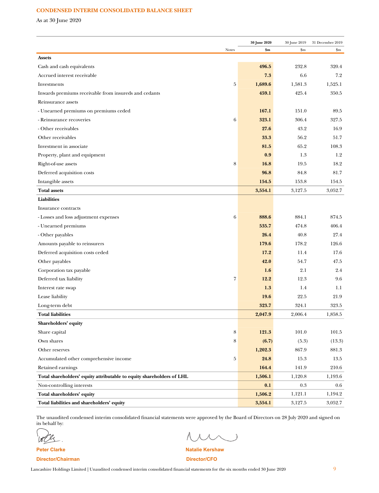# **CONDENSED INTERIM CONSOLIDATED BALANCE SHEET**

As at 30 June 2020

| 30 June 2020                                                          |   | 30 June 2019 | 31 December 2019 |                        |
|-----------------------------------------------------------------------|---|--------------|------------------|------------------------|
| <b>Notes</b>                                                          |   | \$m\$        | \$m              | $\mathop{\mathrm{Sm}}$ |
| <b>Assets</b>                                                         |   |              |                  |                        |
| Cash and cash equivalents                                             |   | 496.5        | 232.8            | 320.4                  |
| Accrued interest receivable                                           |   | 7.3          | 6.6              | 7.2                    |
| Investments                                                           | 5 | 1,689.6      | 1,581.3          | 1,525.1                |
| Inwards premiums receivable from insureds and cedants                 |   | 459.1        | 425.4            | 350.5                  |
| Reinsurance assets                                                    |   |              |                  |                        |
| - Unearned premiums on premiums ceded                                 |   | 167.1        | 151.0            | 89.5                   |
| - Reinsurance recoveries                                              | 6 | 323.1        | 306.4            | 327.5                  |
| - Other receivables                                                   |   | 27.6         | 43.2             | 16.9                   |
| Other receivables                                                     |   | 33.3         | 56.2             | 51.7                   |
| Investment in associate                                               |   | 81.5         | 65.2             | 108.3                  |
| Property, plant and equipment                                         |   | 0.9          | 1.3              | 1.2                    |
| Right-of-use assets                                                   | 8 | 16.8         | 19.5             | 18.2                   |
| Deferred acquisition costs                                            |   | 96.8         | 84.8             | 81.7                   |
| Intangible assets                                                     |   | 154.5        | 153.8            | 154.5                  |
| <b>Total assets</b>                                                   |   | 3,554.1      | 3,127.5          | 3,052.7                |
| <b>Liabilities</b>                                                    |   |              |                  |                        |
| Insurance contracts                                                   |   |              |                  |                        |
| - Losses and loss adjustment expenses                                 | 6 | 888.6        | 884.1            | 874.5                  |
| - Unearned premiums                                                   |   | 535.7        | 474.8            | 406.4                  |
| - Other payables                                                      |   | 26.4         | 40.8             | 27.4                   |
| Amounts payable to reinsurers                                         |   | 179.6        | 178.2            | 126.6                  |
| Deferred acquisition costs ceded                                      |   | 17.2         | 11.4             | 17.6                   |
| Other payables                                                        |   | 42.0         | 54.7             | 47.5                   |
| Corporation tax payable                                               |   | 1.6          | 2.1              | 2.4                    |
| Deferred tax liability                                                | 7 | 12.2         | 12.3             | 9.6                    |
| Interest rate swap                                                    |   | 1.3          | 1.4              | 1.1                    |
| Lease liability                                                       |   | 19.6         | 22.5             | 21.9                   |
| Long-term debt                                                        |   | 323.7        | 324.1            | 323.5                  |
| <b>Total liabilities</b>                                              |   | 2,047.9      | 2,006.4          | 1,858.5                |
| Shareholders' equity                                                  |   |              |                  |                        |
| Share capital                                                         | 8 | 121.3        | 101.0            | 101.5                  |
| Own shares                                                            | 8 | (6.7)        | (5.3)            | (13.3)                 |
| Other reserves                                                        |   | 1,202.3      | 867.9            | 881.3                  |
| Accumulated other comprehensive income                                | 5 | 24.8         | 15.3             | 13.5                   |
| Retained earnings                                                     |   | 164.4        | 141.9            | 210.6                  |
| Total shareholders' equity attributable to equity shareholders of LHL |   | 1,506.1      | 1,120.8          | 1,193.6                |
| Non-controlling interests                                             |   | 0.1          | 0.3              | $0.6\,$                |
| Total shareholders' equity                                            |   | 1,506.2      | 1,121.1          | 1,194.2                |
| Total liabilities and shareholders' equity                            |   | 3,554.1      | 3,127.5          | 3,052.7                |

The unaudited condensed interim consolidated financial statements were approved by the Board of Directors on 28 July 2020 and signed on its behalf by:

ば

 $\overline{\phantom{a}}$  $\Lambda \wedge$ 

**Peter Clarke Natalie Kershaw** Natalie Kershaw **Director/Chairman Director/CFO**

Lancashire Holdings Limited | Unaudited condensed interim consolidated financial statements for the six months ended 30 June 2020 9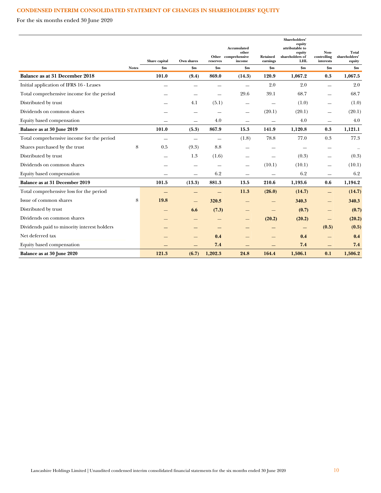# **CONDENSED INTERIM CONSOLIDATED STATEMENT OF CHANGES IN SHAREHOLDERS' EQUITY**

For the six months ended 30 June 2020

|                                             |              |                                 | Own shares    | reserves                 | Accumulated<br>other<br>Other comprehensive<br>income | <b>Retained</b>            | Shareholders'<br>equity<br>attributable to<br>equity<br>shareholders of<br><b>LHL</b> | Non-<br>controlling<br>interests | Total<br>shareholders'  |
|---------------------------------------------|--------------|---------------------------------|---------------|--------------------------|-------------------------------------------------------|----------------------------|---------------------------------------------------------------------------------------|----------------------------------|-------------------------|
|                                             | <b>Notes</b> | Share capital<br>$\mathbf{\$m}$ | $\mathbf{Sm}$ | \$m\$                    | \$m\$                                                 | earnings<br>$\mathbf{\$m}$ | \$m\$                                                                                 | \$m\$                            | equity<br>$\mathbf{Sm}$ |
| Balance as at 31 December 2018              |              | 101.0                           | (9.4)         | 869.0                    | (14.3)                                                | 120.9                      | 1,067.2                                                                               | 0.3                              | 1,067.5                 |
| Initial application of IFRS 16 - Leases     |              |                                 |               |                          |                                                       | 2.0                        | 2.0                                                                                   | $\equiv$                         | 2.0                     |
| Total comprehensive income for the period   |              |                                 |               |                          | 29.6                                                  | 39.1                       | 68.7                                                                                  |                                  | 68.7                    |
| Distributed by trust                        |              |                                 | 4.1           | (5.1)                    | $\overline{\phantom{0}}$                              | $\overline{\phantom{a}}$   | (1.0)                                                                                 | $\overline{\phantom{0}}$         | (1.0)                   |
| Dividends on common shares                  |              |                                 |               |                          |                                                       | (20.1)                     | (20.1)                                                                                |                                  | (20.1)                  |
| Equity based compensation                   |              |                                 |               | 4.0                      | $\overline{\phantom{0}}$                              |                            | 4.0                                                                                   | $\overline{\phantom{0}}$         | 4.0                     |
| Balance as at 30 June 2019                  |              | 101.0                           | (5.3)         | 867.9                    | 15.3                                                  | 141.9                      | 1,120.8                                                                               | 0.3                              | 1,121.1                 |
| Total comprehensive income for the period   |              | $\overline{\phantom{0}}$        | $\equiv$      | $\overline{\phantom{0}}$ | (1.8)                                                 | 78.8                       | 77.0                                                                                  | 0.3                              | 77.3                    |
| Shares purchased by the trust               | 8            | 0.5                             | (9.3)         | 8.8                      |                                                       |                            |                                                                                       |                                  |                         |
| Distributed by trust                        |              |                                 | 1.3           | (1.6)                    |                                                       |                            | (0.3)                                                                                 | $\overline{\phantom{0}}$         | (0.3)                   |
| Dividends on common shares                  |              |                                 |               |                          |                                                       | (10.1)                     | (10.1)                                                                                |                                  | (10.1)                  |
| Equity based compensation                   |              |                                 |               | 6.2                      |                                                       |                            | 6.2                                                                                   |                                  | 6.2                     |
| Balance as at 31 December 2019              |              | 101.5                           | (13.3)        | 881.3                    | 13.5                                                  | 210.6                      | 1,193.6                                                                               | 0.6                              | 1,194.2                 |
| Total comprehensive loss for the period     |              |                                 | –             | $\qquad \qquad$          | 11.3                                                  | (26.0)                     | (14.7)                                                                                | $=$                              | (14.7)                  |
| Issue of common shares                      | 8            | 19.8                            |               | 320.5                    |                                                       |                            | 340.3                                                                                 |                                  | 340.3                   |
| Distributed by trust                        |              |                                 | 6.6           | (7.3)                    |                                                       |                            | (0.7)                                                                                 |                                  | (0.7)                   |
| Dividends on common shares                  |              |                                 |               |                          |                                                       | (20.2)                     | (20.2)                                                                                |                                  | (20.2)                  |
| Dividends paid to minority interest holders |              |                                 |               |                          |                                                       |                            |                                                                                       | (0.5)                            | (0.5)                   |
| Net deferred tax                            |              |                                 |               | 0.4                      |                                                       |                            | 0.4                                                                                   |                                  | 0.4                     |
| Equity based compensation                   |              |                                 |               | 7.4                      |                                                       |                            | 7.4                                                                                   | —                                | 7.4                     |
| Balance as at 30 June 2020                  |              | 121.3                           | (6.7)         | 1,202.3                  | 24.8                                                  | 164.4                      | 1,506.1                                                                               | 0.1                              | 1,506.2                 |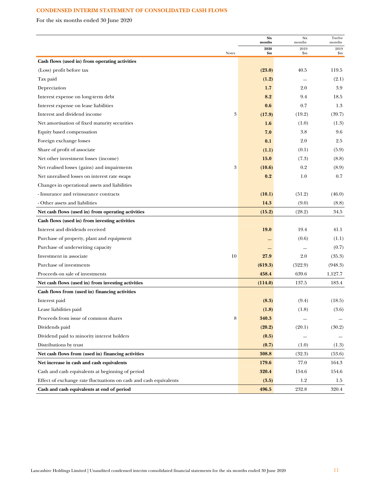# **CONDENSED INTERIM STATEMENT OF CONSOLIDATED CASH FLOWS**

For the six months ended 30 June 2020

|                                                                   | <b>Six</b><br>months | Six<br>months | Twelve<br>months |
|-------------------------------------------------------------------|----------------------|---------------|------------------|
| <b>Notes</b>                                                      | 2020<br>\$m          | 2019<br>\$m   | 2019<br>\$m      |
| Cash flows (used in) from operating activities                    |                      |               |                  |
| (Loss) profit before tax                                          | (23.0)               | 40.5          | 119.5            |
| Tax paid                                                          | (1.2)                |               | (2.1)            |
| Depreciation                                                      | 1.7                  | 2.0           | 3.9              |
| Interest expense on long-term debt                                | 8.2                  | 9.4           | 18.5             |
| Interest expense on lease liabilities                             | 0.6                  | 0.7           | 1.3              |
| 3<br>Interest and dividend income                                 | (17.9)               | (19.2)        | (39.7)           |
| Net amortisation of fixed maturity securities                     | 1.6                  | (1.0)         | (1.3)            |
| Equity based compensation                                         | 7.0                  | 3.8           | 9.6              |
| Foreign exchange losses                                           | 0.1                  | 2.0           | 2.5              |
| Share of profit of associate                                      | (1.1)                | (0.1)         | (5.9)            |
| Net other investment losses (income)                              | 15.0                 | (7.3)         | (8.8)            |
| 3<br>Net realised losses (gains) and impairments                  | (10.6)               | 0.2           | (8.9)            |
| Net unrealised losses on interest rate swaps                      | 0.2                  | 1.0           | 0.7              |
| Changes in operational assets and liabilities                     |                      |               |                  |
| - Insurance and reinsurance contracts                             | (10.1)               | (51.2)        | (46.0)           |
| - Other assets and liabilities                                    | 14.3                 | (9.0)         | (8.8)            |
| Net cash flows (used in) from operating activities                | (15.2)               | (28.2)        | 34.5             |
| Cash flows (used in) from investing activities                    |                      |               |                  |
| Interest and dividends received                                   | <b>19.0</b>          | 19.4          | 41.1             |
| Purchase of property, plant and equipment                         |                      | (0.6)         | (1.1)            |
| Purchase of underwriting capacity                                 |                      |               | (0.7)            |
| 10<br>Investment in associate                                     | 27.9                 | 2.0           | (35.3)           |
| Purchase of investments                                           | (619.3)              | (522.9)       | (948.3)          |
| Proceeds on sale of investments                                   | 458.4                | 639.6         | 1,127.7          |
| Net cash flows (used in) from investing activities                | (114.0)              | 137.5         | 183.4            |
| Cash flows from (used in) financing activities                    |                      |               |                  |
| Interest paid                                                     | (8.3)                | (9.4)         | (18.5)           |
| Lease liabilities paid                                            | (1.8)                | (1.8)         | (3.6)            |
| 8<br>Proceeds from issue of common shares                         | 340.3                |               |                  |
| Dividends paid                                                    | (20.2)               | (20.1)        | (30.2)           |
| Dividend paid to minority interest holders                        | (0.5)                |               |                  |
| Distributions by trust                                            | (0.7)                | (1.0)         | (1.3)            |
| Net cash flows from (used in) financing activities                | 308.8                | (32.3)        | (53.6)           |
| Net increase in cash and cash equivalents                         | 179.6                | 77.0          | 164.3            |
| Cash and cash equivalents at beginning of period                  | 320.4                | 154.6         | 154.6            |
| Effect of exchange rate fluctuations on cash and cash equivalents | (3.5)                | 1.2           | 1.5              |
| Cash and cash equivalents at end of period                        | 496.5                | 232.8         | 320.4            |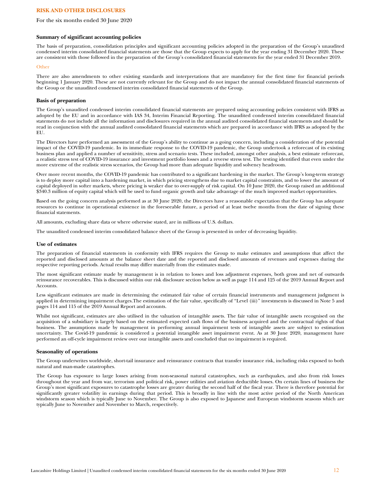For the six months ended 30 June 2020

### **Summary of significant accounting policies**

The basis of preparation, consolidation principles and significant accounting policies adopted in the preparation of the Group's unaudited condensed interim consolidated financial statements are those that the Group expects to apply for the year ending 31 December 2020. These are consistent with those followed in the preparation of the Group's consolidated financial statements for the year ended 31 December 2019.

#### **Other**

There are also amendments to other existing standards and interpretations that are mandatory for the first time for financial periods beginning 1 January 2020. These are not currently relevant for the Group and do not impact the annual consolidated financial statements of the Group or the unaudited condensed interim consolidated financial statements of the Group.

### **Basis of preparation**

The Group's unaudited condensed interim consolidated financial statements are prepared using accounting policies consistent with IFRS as adopted by the EU and in accordance with IAS 34, Interim Financial Reporting. The unaudited condensed interim consolidated financial statements do not include all the information and disclosures required in the annual audited consolidated financial statements and should be read in conjunction with the annual audited consolidated financial statements which are prepared in accordance with IFRS as adopted by the EU.

The Directors have performed an assessment of the Group's ability to continue as a going concern, including a consideration of the potential impact of the COVID-19 pandemic. In its immediate response to the COVID-19 pandemic, the Group undertook a reforecast of its existing business plan and applied a number of sensitivity, stress and scenario tests. These included, amongst other analysis, a best estimate reforecast, a realistic stress test of COVID-19 insurance and investment portfolio losses and a reverse stress test. The testing identified that even under the more extreme of the realistic stress scenarios, the Group had more than adequate liquidity and solvency headroom.

Over more recent months, the COVID-19 pandemic has contributed to a significant hardening in the market. The Group's long-term strategy is to deploy more capital into a hardening market, in which pricing strengthens due to market capital constraints, and to lower the amount of capital deployed in softer markets, where pricing is weaker due to over-supply of risk capital. On 10 June 2020, the Group raised an additional \$340.3 million of equity capital which will be used to fund organic growth and take advantage of the much improved market opportunities.

Based on the going concern analysis performed as at 30 June 2020, the Directors have a reasonable expectation that the Group has adequate resources to continue in operational existence in the foreseeable future, a period of at least twelve months from the date of signing these financial statements.

All amounts, excluding share data or where otherwise stated, are in millions of U.S. dollars.

The unaudited condensed interim consolidated balance sheet of the Group is presented in order of decreasing liquidity.

### **Use of estimates**

The preparation of financial statements in conformity with IFRS requires the Group to make estimates and assumptions that affect the reported and disclosed amounts at the balance sheet date and the reported and disclosed amounts of revenues and expenses during the respective reporting periods. Actual results may differ materially from the estimates made.

The most significant estimate made by management is in relation to losses and loss adjustment expenses, both gross and net of outwards reinsurance recoverables. This is discussed within our risk disclosure section below as well as page 114 and 125 of the 2019 Annual Report and Accounts.

Less significant estimates are made in determining the estimated fair value of certain financial instruments and management judgment is applied in determining impairment charges.The estimation of the fair value, specifically of "Level (iii)" investments is discussed in Note 5 and pages 114 and 115 of the 2019 Annual Report and accounts.

Whilst not significant, estimates are also utilised in the valuation of intangible assets. The fair value of intangible assets recognised on the acquisition of a subsidiary is largely based on the estimated expected cash flows of the business acquired and the contractual rights of that business. The assumptions made by management in performing annual impairment tests of intangible assets are subject to estimation uncertainty. The Covid-19 pandemic is considered a potential intangible asset impairment event. As at 30 June 2020, management have performed an off-cycle impairment review over our intangible assets and concluded that no impairment is required.

### **Seasonality of operations**

The Group underwrites worldwide, short-tail insurance and reinsurance contracts that transfer insurance risk, including risks exposed to both natural and man-made catastrophes.

The Group has exposure to large losses arising from non-seasonal natural catastrophes, such as earthquakes, and also from risk losses throughout the year and from war, terrorism and political risk, power utilities and aviation deductible losses. On certain lines of business the Group's most significant exposures to catastrophe losses are greater during the second half of the fiscal year. There is therefore potential for significantly greater volatility in earnings during that period. This is broadly in line with the most active period of the North American windstorm season which is typically June to November. The Group is also exposed to Japanese and European windstorm seasons which are typically June to November and November to March, respectively.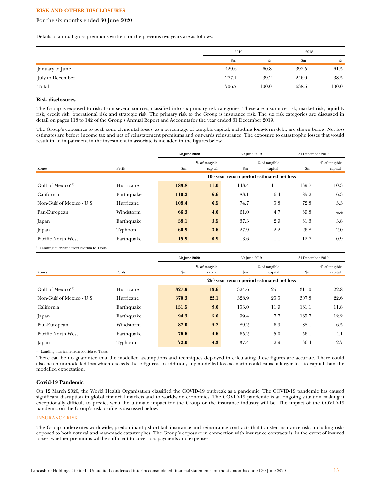### For the six months ended 30 June 2020

Details of annual gross premiums written for the previous two years are as follows:

|                  | 2019  |       |             | 2018  |
|------------------|-------|-------|-------------|-------|
|                  | \$m   | %     | $_{\rm Sm}$ | %     |
| January to June  | 429.6 | 60.8  | 392.5       | 61.5  |
| July to December | 277.1 | 39.2  | 246.0       | 38.5  |
| Total            | 706.7 | 100.0 | 638.5       | 100.0 |

### **Risk disclosures**

The Group is exposed to risks from several sources, classified into six primary risk categories. These are insurance risk, market risk, liquidity risk, credit risk, operational risk and strategic risk. The primary risk to the Group is insurance risk. The six risk categories are discussed in detail on pages 118 to 142 of the Group's Annual Report and Accounts for the year ended 31 December 2019.

The Group's exposures to peak zone elemental losses, as a percentage of tangible capital, including long-term debt, are shown below. Net loss estimates are before income tax and net of reinstatement premiums and outwards reinsurance. The exposure to catastrophe losses that would result in an impairment in the investment in associate is included in the figures below.

|                               |            | 30 June 2020                              |               |               | 30 June 2019  |               | 31 December 2019 |
|-------------------------------|------------|-------------------------------------------|---------------|---------------|---------------|---------------|------------------|
|                               |            |                                           | % of tangible |               | % of tangible |               | $%$ of tangible  |
| Zones                         | Perils     | \$m\$                                     | capital       | $\mathbf{Sm}$ | capital       | $\mathbf{Sm}$ | capital          |
|                               |            | 100 year return period estimated net loss |               |               |               |               |                  |
| Gulf of Mexico <sup>(1)</sup> | Hurricane  | 183.8                                     | 11.0          | 143.4         | 11.1          | 139.7         | 10.3             |
| California                    | Earthquake | 110.2                                     | 6.6           | 83.1          | 6.4           | 85.2          | 6.3              |
| Non-Gulf of Mexico - U.S.     | Hurricane  | 108.4                                     | 6.5           | 74.7          | 5.8           | 72.8          | 5.3              |
| Pan-European                  | Windstorm  | 66.3                                      | 4.0           | 61.0          | 4.7           | 59.8          | 4.4              |
| Japan                         | Earthquake | 58.1                                      | 3.5           | 37.3          | 2.9           | 51.3          | 3.8              |
| Japan                         | Typhoon    | 60.9                                      | 3.6           | 27.9          | 2.2           | 26.8          | 2.0              |
| Pacific North West            | Earthquake | 15.9                                      | 0.9           | 13.6          | 1.1           | 12.7          | 0.9              |

<sup>1)</sup> Landing hurricane from Florida to Texas.

|                               |            |       | 30 June 2020<br>30 June 2019              |               | 31 December 2019         |       |                            |
|-------------------------------|------------|-------|-------------------------------------------|---------------|--------------------------|-------|----------------------------|
| Zones                         | Perils     | \$m\$ | % of tangible<br>capital                  | $\mathbf{Sm}$ | % of tangible<br>capital | \$m\$ | $%$ of tangible<br>capital |
|                               |            |       | 250 year return period estimated net loss |               |                          |       |                            |
| Gulf of Mexico <sup>(1)</sup> | Hurricane  | 327.9 | 19.6                                      | 324.6         | 25.1                     | 311.0 | 22.8                       |
| Non-Gulf of Mexico - U.S.     | Hurricane  | 370.3 | 22.1                                      | 328.9         | 25.5                     | 307.8 | 22.6                       |
| California                    | Earthquake | 151.5 | 9.0                                       | 153.0         | 11.9                     | 161.1 | 11.8                       |
| Japan                         | Earthquake | 94.3  | 5.6                                       | 99.4          | 7.7                      | 165.7 | 12.2                       |
| Pan-European                  | Windstorm  | 87.0  | 5.2                                       | 89.2          | 6.9                      | 88.1  | 6.5                        |
| Pacific North West            | Earthquake | 76.6  | 4.6                                       | 65.2          | 5.0                      | 56.1  | 4.1                        |
| Japan                         | Typhoon    | 72.0  | 4.3                                       | 37.4          | 2.9                      | 36.4  | 2.7                        |

(1) Landing hurricane from Florida to Texas.

There can be no guarantee that the modelled assumptions and techniques deployed in calculating these figures are accurate. There could also be an unmodelled loss which exceeds these figures. In addition, any modelled loss scenario could cause a larger loss to capital than the modelled expectation.

# **Covid-19 Pandemic**

On 12 March 2020, the World Health Organisation classified the COVID-19 outbreak as a pandemic. The COVID-19 pandemic has caused significant disruption in global financial markets and to worldwide economies. The COVID-19 pandemic is an ongoing situation making it exceptionally difficult to predict what the ultimate impact for the Group or the insurance industry will be. The impact of the COVID-19 pandemic on the Group's risk profile is discussed below.

### INSURANCE RISK

The Group underwrites worldwide, predominantly short-tail, insurance and reinsurance contracts that transfer insurance risk, including risks exposed to both natural and man-made catastrophes. The Group's exposure in connection with insurance contracts is, in the event of insured losses, whether premiums will be sufficient to cover loss payments and expenses.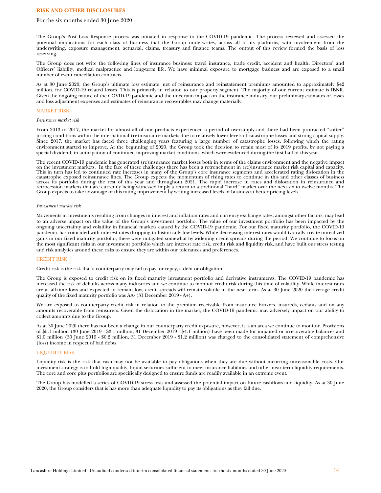### For the six months ended 30 June 2020

The Group's Post Loss Response process was initiated in response to the COVID-19 pandemic. The process reviewed and assessed the potential implications for each class of business that the Group underwrites, across all of its platforms, with involvement from the underwriting, exposure management, actuarial, claims, treasury and finance teams. The output of this review formed the basis of loss reserving.

The Group does not write the following lines of insurance business: travel insurance, trade credit, accident and health, Directors' and Officers' liability, medical malpractice and long-term life. We have minimal exposure to mortgage business and are exposed to a small number of event cancellation contracts.

As at 30 June 2020, the Group's ultimate loss estimate, net of reinsurance and reinstatement premiums amounted to approximately \$42 million, for COVID-19 related losses. This is primarily in relation to our property segment. The majority of our current estimate is IBNR. Given the ongoing nature of the COVID-19 pandemic and the uncertain impact on the insurance industry, our preliminary estimates of losses and loss adjustment expenses and estimates of reinsurance recoverables may change materially.

#### MARKET RISK

#### *Insurance market risk*

From 2013 to 2017, the market for almost all of our products experienced a period of oversupply and there had been protracted "softer" pricing conditions within the international (re)insurance markets due to relatively lower levels of catastrophe losses and strong capital supply. Since 2017, the market has faced three challenging years featuring a large number of catastrophe losses, following which the rating environment started to improve. At the beginning of 2020, the Group took the decision to retain most of its 2019 profits, by not paying a special dividend, in anticipation of continued improving market conditions, which were evidenced during the first half of this year.

The recent COVID-19 pandemic has generated (re)insurance market losses both in terms of the claims environment and the negative impact on the investment markets. In the face of these challenges there has been a retrenchment in (re)insurance market risk capital and capacity. This in turn has led to continued rate increases in many of the Group's core insurance segments and accelerated rating dislocation in the catastrophe exposed reinsurance lines. The Group expects the momentum of rising rates to continue in this and other classes of business across its portfolio during the rest of this year and throughout 2021. The rapid increase in rates and dislocation in reinsurance and retrocession markets that are currently being witnessed imply a return to a traditional "hard" market over the next six to twelve months. The Group expects to take advantage of this rating improvement by writing increased levels of business at better pricing levels.

#### *Investment market risk*

Movements in investments resulting from changes in interest and inflation rates and currency exchange rates, amongst other factors, may lead to an adverse impact on the value of the Group's investment portfolio. The value of our investment portfolio has been impacted by the ongoing uncertainty and volatility in financial markets caused by the COVID-19 pandemic. For our fixed maturity portfolio, the COVID-19 pandemic has coincided with interest rates dropping to historically low levels. While decreasing interest rates would typically create unrealized gains in our fixed maturity portfolio, these were mitigated somewhat by widening credit spreads during the period. We continue to focus on the most significant risks in our investment portfolio which are interest rate risk, credit risk and liquidity risk, and have built our stress testing and risk analytics around these risks to ensure they are within our tolerances and preferences.

### CREDIT RISK

Credit risk is the risk that a counterparty may fail to pay, or repay, a debt or obligation.

The Group is exposed to credit risk on its fixed maturity investment portfolio and derivative instruments. The COVID-19 pandemic has increased the risk of defaults across many industries and we continue to monitor credit risk during this time of volatility. While interest rates are at all-time lows and expected to remain low, credit spreads will remain volatile in the near-term. As at 30 June 2020 the average credit quality of the fixed maturity portfolio was AA- (31 December 2019 - A+).

We are exposed to counterparty credit risk in relation to the premium receivable from insurance brokers, insureds, cedants and on any amounts recoverable from reinsurers. Given the dislocation in the market, the COVID-19 pandemic may adversely impact on our ability to collect amounts due to the Group.

As at 30 June 2020 there has not been a change in our counterparty credit exposure, however, it is an area we continue to monitor. Provisions of \$5.1 million (30 June 2019 - \$3.1 million, 31 December 2019 - \$4.1 million) have been made for impaired or irrecoverable balances and \$1.0 million (30 June 2019 - \$0.2 million, 31 December 2019 - \$1.2 million) was charged to the consolidated statement of comprehensive (loss) income in respect of bad debts.

### LIQUIDITY RISK

Liquidity risk is the risk that cash may not be available to pay obligations when they are due without incurring unreasonable costs. Our investment strategy is to hold high quality, liquid securities sufficient to meet insurance liabilities and other near-term liquidity requirements. The core and core plus portfolios are specifically designed to ensure funds are readily available in an extreme event.

The Group has modelled a series of COVID-19 stress tests and assessed the potential impact on future cashflows and liquidity. As at 30 June 2020, the Group considers that is has more than adequate liquidity to pay its obligations as they fall due.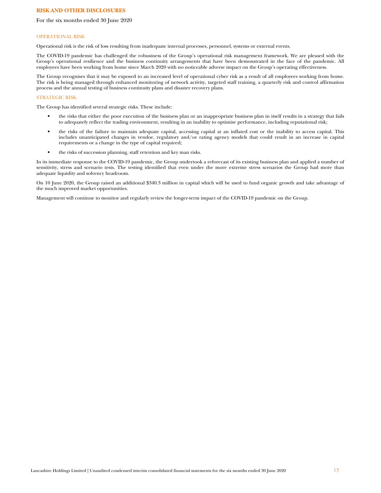### For the six months ended 30 June 2020

#### OPERATIONAL RISK

Operational risk is the risk of loss resulting from inadequate internal processes, personnel, systems or external events.

The COVID-19 pandemic has challenged the robustness of the Group's operational risk management framework. We are pleased with the Group's operational resilience and the business continuity arrangements that have been demonstrated in the face of the pandemic. All employees have been working from home since March 2020 with no noticeable adverse impact on the Group's operating effectiveness.

The Group recognises that it may be exposed to an increased level of operational cyber risk as a result of all employees working from home. The risk is being managed through enhanced monitoring of network activity, targeted staff training, a quarterly risk and control affirmation process and the annual testing of business continuity plans and disaster recovery plans.

### STRATEGIC RISK

The Group has identified several strategic risks. These include:

- the risks that either the poor execution of the business plan or an inappropriate business plan in itself results in a strategy that fails to adequately reflect the trading environment, resulting in an inability to optimise performance, including reputational risk;
- the risks of the failure to maintain adequate capital, accessing capital at an inflated cost or the inability to access capital. This includes unanticipated changes in vendor, regulatory and/or rating agency models that could result in an increase in capital requirements or a change in the type of capital required;
- the risks of succession planning, staff retention and key man risks.

In its immediate response to the COVID-19 pandemic, the Group undertook a reforecast of its existing business plan and applied a number of sensitivity, stress and scenario tests. The testing identified that even under the more extreme stress scenarios the Group had more than adequate liquidity and solvency headroom.

On 10 June 2020, the Group raised an additional \$340.3 million in capital which will be used to fund organic growth and take advantage of the much improved market opportunities.

Management will continue to monitor and regularly review the longer-term impact of the COVID-19 pandemic on the Group.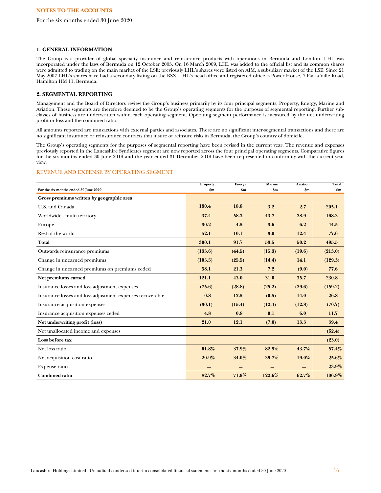For the six months ended 30 June 2020

### **1. GENERAL INFORMATION**

The Group is a provider of global specialty insurance and reinsurance products with operations in Bermuda and London. LHL was incorporated under the laws of Bermuda on 12 October 2005. On 16 March 2009, LHL was added to the official list and its common shares were admitted to trading on the main market of the LSE; previously LHL's shares were listed on AIM, a subsidiary market of the LSE. Since 21 May 2007 LHL's shares have had a secondary listing on the BSX. LHL's head office and registered office is Power House, 7 Par-la-Ville Road, Hamilton HM 11, Bermuda.

# **2. SEGMENTAL REPORTING**

Management and the Board of Directors review the Group's business primarily by its four principal segments: Property, Energy, Marine and Aviation. These segments are therefore deemed to be the Group's operating segments for the purposes of segmental reporting. Further subclasses of business are underwritten within each operating segment. Operating segment performance is measured by the net underwriting profit or loss and the combined ratio.

All amounts reported are transactions with external parties and associates. There are no significant inter-segmental transactions and there are no significant insurance or reinsurance contracts that insure or reinsure risks in Bermuda, the Group's country of domicile.

The Group's operating segments for the purposes of segmental reporting have been revised in the current year. The revenue and expenses previously reported in the Lancashire Syndicates segment are now reported across the four principal operating segments. Comparative figures for the six months ended 30 June 2019 and the year ended 31 December 2019 have been re-presented in conformity with the current year view.

# REVENUE AND EXPENSE BY OPERATING SEGMENT

|                                                           | Property      | Energy        | Marine | <b>Aviation</b> | Total         |
|-----------------------------------------------------------|---------------|---------------|--------|-----------------|---------------|
| For the six months ended 30 June 2020                     | $\mathbf{Sm}$ | $\mathbf{Sm}$ | \$m\$  | \$m\$           | $\mathbf{Sm}$ |
| Gross premiums written by geographic area                 |               |               |        |                 |               |
| U.S. and Canada                                           | 180.4         | 18.8          | 3.2    | 2.7             | 205.1         |
| Worldwide - multi territory                               | 37.4          | 58.3          | 43.7   | 28.9            | 168.3         |
| Europe                                                    | 30.2          | 4.5           | 3.6    | 6.2             | 44.5          |
| Rest of the world                                         | 52.1          | 10.1          | 3.0    | 12.4            | 77.6          |
| Total                                                     | 300.1         | 91.7          | 53.5   | 50.2            | 495.5         |
| Outwards reinsurance premiums                             | (133.6)       | (44.5)        | (15.3) | (19.6)          | (213.0)       |
| Change in unearned premiums                               | (103.5)       | (25.5)        | (14.4) | 14.1            | (129.3)       |
| Change in unearned premiums on premiums ceded             | 58.1          | 21.3          | 7.2    | (9.0)           | 77.6          |
| Net premiums earned                                       | 121.1         | 43.0          | 31.0   | 35.7            | 230.8         |
| Insurance losses and loss adjustment expenses             | (75.6)        | (28.8)        | (25.2) | (29.6)          | (159.2)       |
| Insurance losses and loss adjustment expenses recoverable | 0.8           | 12.5          | (0.5)  | 14.0            | 26.8          |
| Insurance acquisition expenses                            | (30.1)        | (15.4)        | (12.4) | (12.8)          | (70.7)        |
| Insurance acquisition expenses ceded                      | 4.8           | 0.8           | 0.1    | 6.0             | 11.7          |
| Net underwriting profit (loss)                            | 21.0          | 12.1          | (7.0)  | 13.3            | 39.4          |
| Net unallocated income and expenses                       |               |               |        |                 | (62.4)        |
| Loss before tax                                           |               |               |        |                 | (23.0)        |
| Net loss ratio                                            | 61.8%         | 37.9%         | 82.9%  | 43.7%           | 57.4%         |
| Net acquisition cost ratio                                | 20.9%         | 34.0%         | 39.7%  | 19.0%           | 25.6%         |
| Expense ratio                                             |               |               |        |                 | 23.9%         |
| <b>Combined ratio</b>                                     | 82.7%         | 71.9%         | 122.6% | 62.7%           | 106.9%        |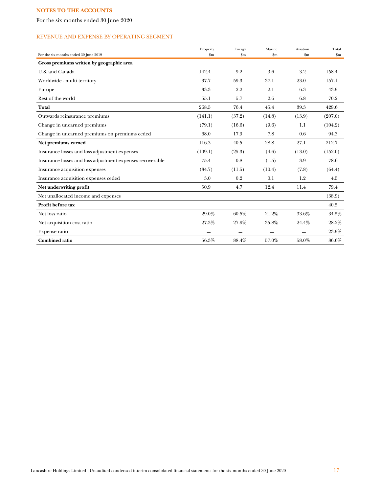For the six months ended 30 June 2020

# REVENUE AND EXPENSE BY OPERATING SEGMENT

|                                                           | Property | Energy        | Marine        | Aviation | Total          |
|-----------------------------------------------------------|----------|---------------|---------------|----------|----------------|
| For the six months ended 30 June 2019                     | \$m      | $\mathbf{Sm}$ | $\mathbf{Sm}$ | \$m\$    | $\mathbf{S}$ m |
| Gross premiums written by geographic area                 |          |               |               |          |                |
| U.S. and Canada                                           | 142.4    | 9.2           | 3.6           | 3.2      | 158.4          |
| Worldwide - multi territory                               | 37.7     | 59.3          | 37.1          | 23.0     | 157.1          |
| Europe                                                    | 33.3     | 2.2           | 2.1           | 6.3      | 43.9           |
| Rest of the world                                         | 55.1     | 5.7           | 2.6           | 6.8      | 70.2           |
| Total                                                     | 268.5    | 76.4          | 45.4          | 39.3     | 429.6          |
| Outwards reinsurance premiums                             | (141.1)  | (37.2)        | (14.8)        | (13.9)   | (207.0)        |
| Change in unearned premiums                               | (79.1)   | (16.6)        | (9.6)         | 1.1      | (104.2)        |
| Change in unearned premiums on premiums ceded             | 68.0     | 17.9          | 7.8           | 0.6      | 94.3           |
| Net premiums earned                                       | 116.3    | 40.5          | 28.8          | 27.1     | 212.7          |
| Insurance losses and loss adjustment expenses             | (109.1)  | (25.3)        | (4.6)         | (13.0)   | (152.0)        |
| Insurance losses and loss adjustment expenses recoverable | 75.4     | 0.8           | (1.5)         | 3.9      | 78.6           |
| Insurance acquisition expenses                            | (34.7)   | (11.5)        | (10.4)        | (7.8)    | (64.4)         |
| Insurance acquisition expenses ceded                      | 3.0      | 0.2           | 0.1           | 1.2      | 4.5            |
| Net underwriting profit                                   | 50.9     | 4.7           | 12.4          | 11.4     | 79.4           |
| Net unallocated income and expenses                       |          |               |               |          | (38.9)         |
| Profit before tax                                         |          |               |               |          | 40.5           |
| Net loss ratio                                            | 29.0%    | 60.5%         | 21.2%         | 33.6%    | 34.5%          |
| Net acquisition cost ratio                                | 27.3%    | 27.9%         | 35.8%         | 24.4%    | 28.2%          |
| Expense ratio                                             |          |               |               |          | 23.9%          |
| <b>Combined ratio</b>                                     | 56.3%    | 88.4%         | 57.0%         | 58.0%    | 86.6%          |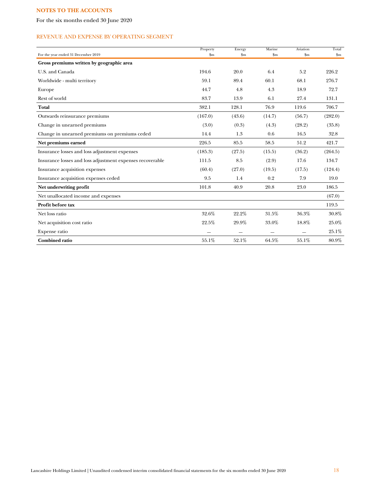For the six months ended 30 June 2020

# REVENUE AND EXPENSE BY OPERATING SEGMENT

|                                                           | Property | Energy                   | Marine        | Aviation      | Total                  |
|-----------------------------------------------------------|----------|--------------------------|---------------|---------------|------------------------|
| For the year ended 31 December 2019                       | \$m\$    | $\mathbf{Sm}$            | $\mathbf{Sm}$ | $\mathbf{Sm}$ | $\mathop{\mathrm{Sm}}$ |
| Gross premiums written by geographic area                 |          |                          |               |               |                        |
| U.S. and Canada                                           | 194.6    | 20.0                     | 6.4           | 5.2           | 226.2                  |
| Worldwide - multi territory                               | 59.1     | 89.4                     | 60.1          | 68.1          | 276.7                  |
| Europe                                                    | 44.7     | 4.8                      | 4.3           | 18.9          | 72.7                   |
| Rest of world                                             | 83.7     | 13.9                     | 6.1           | 27.4          | 131.1                  |
| Total                                                     | 382.1    | 128.1                    | 76.9          | 119.6         | 706.7                  |
| Outwards reinsurance premiums                             | (167.0)  | (43.6)                   | (14.7)        | (56.7)        | (282.0)                |
| Change in unearned premiums                               | (3.0)    | (0.3)                    | (4.3)         | (28.2)        | (35.8)                 |
| Change in unearned premiums on premiums ceded             | 14.4     | 1.3                      | 0.6           | 16.5          | 32.8                   |
| Net premiums earned                                       | 226.5    | 85.5                     | 58.5          | 51.2          | 421.7                  |
| Insurance losses and loss adjustment expenses             | (185.3)  | (27.5)                   | (15.5)        | (36.2)        | (264.5)                |
| Insurance losses and loss adjustment expenses recoverable | 111.5    | 8.5                      | (2.9)         | 17.6          | 134.7                  |
| Insurance acquisition expenses                            | (60.4)   | (27.0)                   | (19.5)        | (17.5)        | (124.4)                |
| Insurance acquisition expenses ceded                      | 9.5      | 1.4                      | 0.2           | 7.9           | 19.0                   |
| Net underwriting profit                                   | 101.8    | 40.9                     | 20.8          | 23.0          | 186.5                  |
| Net unallocated income and expenses                       |          |                          |               |               | (67.0)                 |
| Profit before tax                                         |          |                          |               |               | 119.5                  |
| Net loss ratio                                            | 32.6%    | 22.2%                    | 31.5%         | 36.3%         | 30.8%                  |
| Net acquisition cost ratio                                | 22.5%    | 29.9%                    | 33.0%         | 18.8%         | 25.0%                  |
| Expense ratio                                             |          | $\overline{\phantom{0}}$ | $\sim$        |               | 25.1%                  |
| <b>Combined ratio</b>                                     | 55.1%    | 52.1%                    | 64.5%         | 55.1%         | 80.9%                  |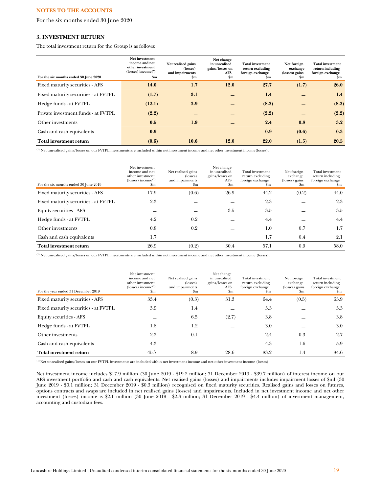For the six months ended 30 June 2020

# **3. INVESTMENT RETURN**

The total investment return for the Group is as follows:

| For the six months ended 30 June 2020 | Net investment<br>income and net<br>other investment<br>$(losses) income{1}$<br>$\mathbf{Sm}$ | Net realised gains<br>(losses)<br>and impairments<br>\$m | Net change<br>in unrealised<br>gains/losses on<br>AFS<br>$\mathbf{Sm}$ | <b>Total investment</b><br>return excluding<br>foreign exchange<br>Sm | Net foreign<br>exchange<br>(losses) gains<br>Sm | <b>Total investment</b><br>return including<br>foreign exchange<br>\$m |
|---------------------------------------|-----------------------------------------------------------------------------------------------|----------------------------------------------------------|------------------------------------------------------------------------|-----------------------------------------------------------------------|-------------------------------------------------|------------------------------------------------------------------------|
| Fixed maturity securities - AFS       | 14.0                                                                                          | 1.7                                                      | <b>12.0</b>                                                            | 27.7                                                                  | (1.7)                                           | 26.0                                                                   |
| Fixed maturity securities - at FVTPL  | (1.7)                                                                                         | 3.1                                                      |                                                                        | 1.4                                                                   |                                                 | 1.4                                                                    |
| Hedge funds - at FVTPL                | (12.1)                                                                                        | 3.9                                                      |                                                                        | (8.2)                                                                 |                                                 | (8.2)                                                                  |
| Private investment funds - at FVTPL   | (2.2)                                                                                         | —                                                        |                                                                        | (2.2)                                                                 |                                                 | (2.2)                                                                  |
| Other investments                     | 0.5                                                                                           | 1.9                                                      |                                                                        | 2.4                                                                   | 0.8                                             | 3.2                                                                    |
| Cash and cash equivalents             | 0.9                                                                                           |                                                          |                                                                        | 0.9                                                                   | (0.6)                                           | 0.3                                                                    |
| Total investment return               | (0.6)                                                                                         | 10.6                                                     | <b>12.0</b>                                                            | 22.0                                                                  | (1.5)                                           | 20.5                                                                   |

(1) Net unrealised gains/losses on our FVTPL investments are included within net investment income and net other investment income(losses).

| For the six months ended 30 June 2019 | Net investment<br>income and net<br>other investment<br>(losses) income <sup>(1)</sup><br>\$m | Net realised gains<br>(losses)<br>and impairments<br>$_{\rm Sm}$ | Net change<br>in unrealised<br>gains/losses on<br>AFS<br>$_{\rm Sm}$ | Total investment<br>return excluding<br>foreign exchange<br><b>Sm</b> | Net foreign<br>exchange<br>(losses) gains<br>\$m | Total investment<br>return including<br>foreign exchange<br>Sm |
|---------------------------------------|-----------------------------------------------------------------------------------------------|------------------------------------------------------------------|----------------------------------------------------------------------|-----------------------------------------------------------------------|--------------------------------------------------|----------------------------------------------------------------|
| Fixed maturity securities - AFS       | 17.9                                                                                          | (0.6)                                                            | 26.9                                                                 | 44.2                                                                  | (0.2)                                            | 44.0                                                           |
| Fixed maturity securities - at FVTPL  | 2.3                                                                                           |                                                                  |                                                                      | 2.3                                                                   |                                                  | 2.3                                                            |
| Equity securities - AFS               |                                                                                               |                                                                  | 3.5                                                                  | 3.5                                                                   |                                                  | 3.5                                                            |
| Hedge funds - at FVTPL                | 4.2                                                                                           | 0.2                                                              |                                                                      | 4.4                                                                   |                                                  | 4.4                                                            |
| Other investments                     | 0.8                                                                                           | 0.2                                                              |                                                                      | 1.0                                                                   | 0.7                                              | 1.7                                                            |
| Cash and cash equivalents             | 1.7                                                                                           |                                                                  |                                                                      | $1.7\,$                                                               | 0.4                                              | 2.1                                                            |
| <b>Total investment return</b>        | 26.9                                                                                          | (0.2)                                                            | 30.4                                                                 | 57.1                                                                  | 0.9                                              | 58.0                                                           |

(1) Net unrealised gains/losses on our FVTPL investments are included within net investment income and net other investment income (losses).

| For the year ended 31 December 2019  | Net investment<br>income and net<br>other investment<br>$(losses)$ income <sup><math>(l)</math></sup><br>$_{\rm Sm}$ | Net realised gains<br>(losses)<br>and impairments<br>\$m | Net change<br>in unrealised<br>gains/losses on<br><b>AFS</b><br>\$m | Total investment<br>return excluding<br>foreign exchange<br>$_{\rm Sm}$ | Net foreign<br>exchange<br>(losses) gains<br>$_{\rm Sm}$ | Total investment<br>return including<br>foreign exchange<br>\$m |
|--------------------------------------|----------------------------------------------------------------------------------------------------------------------|----------------------------------------------------------|---------------------------------------------------------------------|-------------------------------------------------------------------------|----------------------------------------------------------|-----------------------------------------------------------------|
| Fixed maturity securities - AFS      | 33.4                                                                                                                 | (0.3)                                                    | 31.3                                                                | 64.4                                                                    | (0.5)                                                    | 63.9                                                            |
| Fixed maturity securities - at FVTPL | 3.9                                                                                                                  | 1.4                                                      |                                                                     | 5.3                                                                     |                                                          | 5.3                                                             |
| Equity securities - AFS              |                                                                                                                      | 6.5                                                      | (2.7)                                                               | 3.8                                                                     |                                                          | 3.8                                                             |
| Hedge funds - at FVTPL               | 1.8                                                                                                                  | 1.2                                                      |                                                                     | 3.0                                                                     |                                                          | 3.0                                                             |
| Other investments                    | 2.3                                                                                                                  | 0.1                                                      |                                                                     | 2.4                                                                     | 0.3                                                      | 2.7                                                             |
| Cash and cash equivalents            | 4.3                                                                                                                  |                                                          |                                                                     | 4.3                                                                     | 1.6                                                      | 5.9                                                             |
| Total investment return              | 45.7                                                                                                                 | 8.9                                                      | 28.6                                                                | 83.2                                                                    | 1.4                                                      | 84.6                                                            |

(1) Net unrealised gains/losses on our FVTPL investments are included within net investment income and net other investment income (losses).

Net investment income includes \$17.9 million (30 June 2019 - \$19.2 million; 31 December 2019 - \$39.7 million) of interest income on our AFS investment portfolio and cash and cash equivalents. Net realised gains (losses) and impairments includes impairment losses of \$nil (30 June 2019 - \$0.1 million; 31 December 2019 - \$0.3 million) recognised on fixed maturity securities. Realised gains and losses on futures, options contracts and swaps are included in net realised gains (losses) and impairments. Included in net investment income and net other investment (losses) income is \$2.1 million (30 June 2019 - \$2.3 million; 31 December 2019 - \$4.4 million) of investment management, accounting and custodian fees.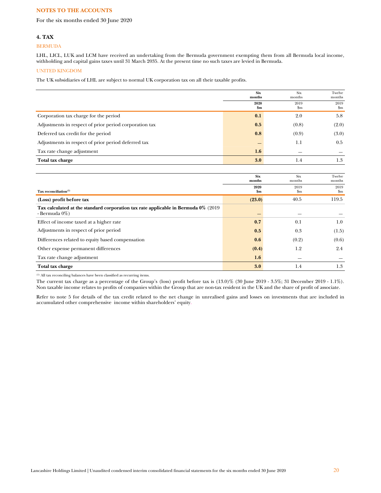For the six months ended 30 June 2020

# **4. TAX**

### BERMUDA

LHL, LICL, LUK and LCM have received an undertaking from the Bermuda government exempting them from all Bermuda local income, withholding and capital gains taxes until 31 March 2035. At the present time no such taxes are levied in Bermuda.

# UNITED KINGDOM

The UK subsidiaries of LHL are subject to normal UK corporation tax on all their taxable profits.

|                                                                                                          | <b>Six</b><br>months  | Six<br>months | Twelve<br>months      |
|----------------------------------------------------------------------------------------------------------|-----------------------|---------------|-----------------------|
|                                                                                                          | 2020<br>$\mathbf{Sm}$ | 2019<br>\$m   | 2019<br>$\mathbf{Sm}$ |
| Corporation tax charge for the period                                                                    | 0.1                   | 2.0           | 5.8                   |
| Adjustments in respect of prior period corporation tax                                                   | 0.5                   | (0.8)         | (2.0)                 |
| Deferred tax credit for the period                                                                       | 0.8                   | (0.9)         | (3.0)                 |
| Adjustments in respect of prior period deferred tax                                                      |                       | 1.1           | 0.5                   |
| Tax rate change adjustment                                                                               | 1.6                   |               |                       |
| Total tax charge                                                                                         | 3.0                   | 1.4           | 1.3                   |
|                                                                                                          |                       |               |                       |
|                                                                                                          | <b>Six</b><br>months  | Six<br>months | Twelve<br>months      |
| Tax reconciliation $^{(1)}$                                                                              | 2020<br>$\mathbf{Sm}$ | 2019<br>\$m   | 2019<br>$\mathbf{Sm}$ |
| (Loss) profit before tax                                                                                 | (23.0)                | 40.5          | 119.5                 |
| Tax calculated at the standard corporation tax rate applicable in Bermuda 0% (2019)<br>- Bermuda $0\%$ ) |                       |               |                       |
| Effect of income taxed at a higher rate                                                                  | 0.7                   | 0.1           | 1.0                   |
| Adjustments in respect of prior period                                                                   | 0.5                   | 0.3           | (1.5)                 |
| Differences related to equity based compensation                                                         | 0.6                   | (0.2)         | (0.6)                 |
| Other expense permanent differences                                                                      | (0.4)                 | 1.2           | 2.4                   |
| Tax rate change adjustment                                                                               | 1.6                   |               |                       |
| Total tax charge                                                                                         | 3.0                   | 1.4           | 1.3                   |

 $\,^{\rm (1)}$  All tax reconciling balances have been classified as recurring items.

The current tax charge as a percentage of the Group's (loss) profit before tax is (13.0)% (30 June 2019 - 3.5%; 31 December 2019 - 1.1%). Non taxable income relates to profits of companies within the Group that are non-tax resident in the UK and the share of profit of associate.

Refer to note 5 for details of the tax credit related to the net change in unrealised gains and losses on investments that are included in accumulated other comprehensive income within shareholders' equity.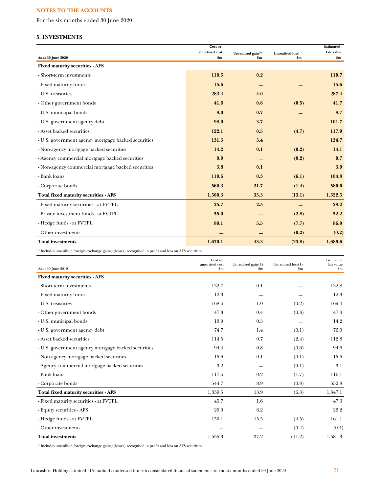For the six months ended 30 June 2020

# **5. INVESTMENTS**

|                                                     | Cost or        |                                |                    | Estimated     |
|-----------------------------------------------------|----------------|--------------------------------|--------------------|---------------|
|                                                     | amortised cost | Unrealised gain <sup>(1)</sup> | Unrealised loss(1) | fair value    |
| As at 30 June 2020                                  | \$m            | \$m\$                          | $\mathbf{Sm}$      | $\mathbf{Sm}$ |
| <b>Fixed maturity securities - AFS</b>              |                |                                |                    |               |
| - Short-term investments                            | 110.5          | 0.2                            |                    | 110.7         |
| - Fixed maturity funds                              | 15.6           |                                |                    | 15.6          |
| - U.S. treasuries                                   | 283.4          | 4.0                            |                    | 287.4         |
| - Other government bonds                            | 41.6           | 0.6                            | (0.5)              | 41.7          |
| - U.S. municipal bonds                              | 8.0            | 0.7                            |                    | 8.7           |
| - U.S. government agency debt                       | 98.0           | 3.7                            |                    | 101.7         |
| - Asset backed securities                           | 122.1          | 0.5                            | (4.7)              | 117.9         |
| - U.S. government agency mortgage backed securities | 131.3          | 3.4                            |                    | 134.7         |
| - Non-agency mortgage backed securities             | 14.2           | 0.1                            | (0.2)              | 14.1          |
| - Agency commercial mortgage backed securities      | 0.9            |                                | (0.2)              | 0.7           |
| - Non-agency commercial mortgage backed securities  | 3.8            | 0.1                            |                    | 3.9           |
| - Bank loans                                        | 110.6          | 0.3                            | (6.1)              | 104.8         |
| - Corporate bonds                                   | 560.3          | 21.7                           | (1.4)              | 580.6         |
| Total fixed maturity securities - AFS               | 1,500.3        | 35.3                           | (13.1)             | 1,522.5       |
| - Fixed maturity securities - at FVTPL              | 25.7           | 2.5                            |                    | 28.2          |
| - Private investment funds - at FVTPL               | 55.0           |                                | (2.8)              | 52.2          |
| - Hedge funds - at FVTPL                            | 89.1           | 5.5                            | (7.7)              | 86.9          |
| - Other investments                                 |                |                                | (0.2)              | (0.2)         |
| <b>Total investments</b>                            | 1,670.1        | 43.3                           | (23.8)             | 1,689.6       |

(1) Includes unrealised foreign exchange gains/(losses) recognised in profit and loss on AFS securities.

|                                                     | Cost or<br>amortised cost | Unrealised gain(1) | Unrealised loss(1) | Estimated<br>fair value |
|-----------------------------------------------------|---------------------------|--------------------|--------------------|-------------------------|
| As at 30 June 2019                                  | $\mathbf{Sm}$             | \$m                | $\mathbf{Sm}$      | $\mathbf{Sm}$           |
| <b>Fixed maturity securities - AFS</b>              |                           |                    |                    |                         |
| - Short-term investments                            | 132.7                     | 0.1                |                    | 132.8                   |
| - Fixed maturity funds                              | 12.3                      |                    |                    | 12.3                    |
| - U.S. treasuries                                   | 168.6                     | 1.0                | (0.2)              | 169.4                   |
| - Other government bonds                            | 47.3                      | 0.4                | (0.3)              | 47.4                    |
| - U.S. municipal bonds                              | 13.9                      | 0.3                |                    | 14.2                    |
| - U.S. government agency debt                       | 74.7                      | 1.4                | (0.1)              | 76.0                    |
| - Asset backed securities                           | 114.5                     | 0.7                | (2.4)              | 112.8                   |
| - U.S. government agency mortgage backed securities | 94.4                      | 0.8                | (0.6)              | 94.6                    |
| - Non-agency mortgage backed securities             | 15.6                      | 0.1                | (0.1)              | 15.6                    |
| - Agency commercial mortgage backed securities      | 3.2                       |                    | (0.1)              | 3.1                     |
| - Bank loans                                        | 117.6                     | 0.2                | (1.7)              | 116.1                   |
| - Corporate bonds                                   | 544.7                     | 8.9                | (0.8)              | 552.8                   |
| Total fixed maturity securities - AFS               | 1,339.5                   | 13.9               | (6.3)              | 1,347.1                 |
| - Fixed maturity securities - at FVTPL              | 45.7                      | 1.6                |                    | 47.3                    |
| - Equity securities - AFS                           | 20.0                      | 6.2                |                    | 26.2                    |
| - Hedge funds - at FVTPL                            | 150.1                     | 15.5               | (4.5)              | 161.1                   |
| - Other investments                                 |                           |                    | (0.4)              | (0.4)                   |
| <b>Total investments</b>                            | 1,555.3                   | 37.2               | (11.2)             | 1,581.3                 |

 $^{\rm (1)}$  Includes unrealised foreign exchange gains/(losses) recognised in profit and loss on AFS securities.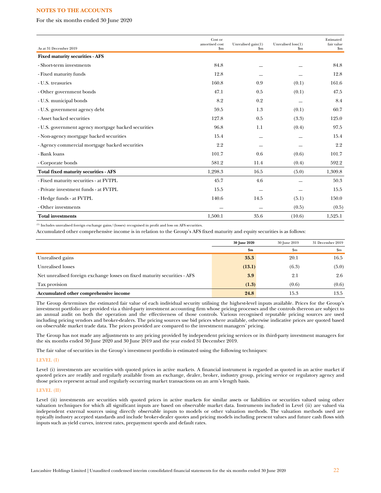For the six months ended 30 June 2020

| As at 31 December 2019                              | Cost or<br>amortised cost<br>$\mathbf{S}$ m | Unrealised gain(1)<br>\$m | Unrealised loss(1)<br>$\mathbf{Sm}$ | Estimated<br>fair value<br>$\mathbf{S}$ m |
|-----------------------------------------------------|---------------------------------------------|---------------------------|-------------------------------------|-------------------------------------------|
| <b>Fixed maturity securities - AFS</b>              |                                             |                           |                                     |                                           |
| - Short-term investments                            | 84.8                                        |                           |                                     | 84.8                                      |
| - Fixed maturity funds                              | 12.8                                        |                           |                                     | 12.8                                      |
| - U.S. treasuries                                   | 160.8                                       | 0.9                       | (0.1)                               | 161.6                                     |
| - Other government bonds                            | 47.1                                        | 0.5                       | (0.1)                               | 47.5                                      |
| - U.S. municipal bonds                              | 8.2                                         | 0.2                       |                                     | 8.4                                       |
| - U.S. government agency debt                       | 59.5                                        | 1.3                       | (0.1)                               | 60.7                                      |
| - Asset backed securities                           | 127.8                                       | 0.5                       | (3.3)                               | 125.0                                     |
| - U.S. government agency mortgage backed securities | 96.8                                        | 1.1                       | (0.4)                               | 97.5                                      |
| - Non-agency mortgage backed securities             | 15.4                                        |                           |                                     | 15.4                                      |
| - Agency commercial mortgage backed securities      | 2.2                                         |                           |                                     | 2.2                                       |
| - Bank loans                                        | 101.7                                       | 0.6                       | (0.6)                               | 101.7                                     |
| - Corporate bonds                                   | 581.2                                       | 11.4                      | (0.4)                               | 592.2                                     |
| Total fixed maturity securities - AFS               | 1,298.3                                     | 16.5                      | (5.0)                               | 1,309.8                                   |
| - Fixed maturity securities - at FVTPL              | 45.7                                        | 4.6                       |                                     | 50.3                                      |
| - Private investment funds - at FVTPL               | 15.5                                        |                           |                                     | 15.5                                      |
| - Hedge funds - at FVTPL                            | 140.6                                       | 14.5                      | (5.1)                               | 150.0                                     |
| - Other investments                                 |                                             |                           | (0.5)                               | (0.5)                                     |
| <b>Total investments</b>                            | 1,500.1                                     | 35.6                      | (10.6)                              | 1,525.1                                   |

(1) Includes unrealised foreign exchange gains/(losses) recognised in profit and loss on AFS securities.

Accumulated other comprehensive income is in relation to the Group's AFS fixed maturity and equity securities is as follows:

|                                                                           | <b>30 June 2020</b> | 30 June 2019 | 31 December 2019 |
|---------------------------------------------------------------------------|---------------------|--------------|------------------|
|                                                                           | $\mathbf{Sm}$       | \$m          | $_{\rm Sm}$      |
| Unrealised gains                                                          | 35.3                | 20.1         | 16.5             |
| Unrealised losses                                                         | (13.1)              | (6.3)        | (5.0)            |
| Net unrealised foreign exchange losses on fixed maturity securities - AFS | 3.9                 | 2.1          | 2.6              |
| Tax provision                                                             | (1.3)               | (0.6)        | (0.6)            |
| Accumulated other comprehensive income                                    | 24.8                | 15.3         | 13.5             |

The Group determines the estimated fair value of each individual security utilising the highest-level inputs available. Prices for the Group's investment portfolio are provided via a third-party investment accounting firm whose pricing processes and the controls thereon are subject to an annual audit on both the operation and the effectiveness of those controls. Various recognised reputable pricing sources are used including pricing vendors and broker-dealers. The pricing sources use bid prices where available, otherwise indicative prices are quoted based on observable market trade data. The prices provided are compared to the investment managers' pricing.

The Group has not made any adjustments to any pricing provided by independent pricing services or its third-party investment managers for the six months ended 30 June 2020 and 30 June 2019 and the year ended 31 December 2019.

The fair value of securities in the Group's investment portfolio is estimated using the following techniques:

# LEVEL (I)

Level (i) investments are securities with quoted prices in active markets. A financial instrument is regarded as quoted in an active market if quoted prices are readily and regularly available from an exchange, dealer, broker, industry group, pricing service or regulatory agency and those prices represent actual and regularly occurring market transactions on an arm's length basis.

# LEVEL (II)

Level (ii) investments are securities with quoted prices in active markets for similar assets or liabilities or securities valued using other valuation techniques for which all significant inputs are based on observable market data. Instruments included in Level (ii) are valued via independent external sources using directly observable inputs to models or other valuation methods. The valuation methods used are typically industry accepted standards and include broker-dealer quotes and pricing models including present values and future cash flows with inputs such as yield curves, interest rates, prepayment speeds and default rates.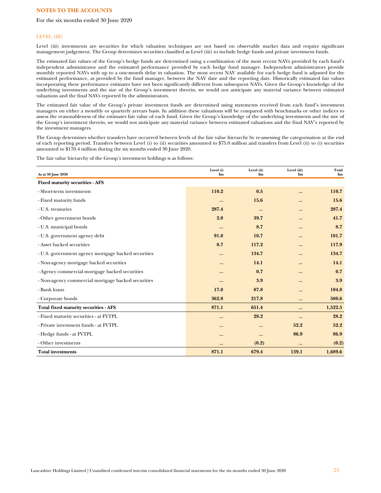### For the six months ended 30 June 2020

### LEVEL (III)

Level (iii) investments are securities for which valuation techniques are not based on observable market data and require significant management judgement. The Group determines securities classified as Level (iii) to include hedge funds and private investment funds.

The estimated fair values of the Group's hedge funds are determined using a combination of the most recent NAVs provided by each fund's independent administrator and the estimated performance provided by each hedge fund manager. Independent administrators provide monthly reported NAVs with up to a one-month delay in valuation. The most recent NAV available for each hedge fund is adjusted for the estimated performance, as provided by the fund manager, between the NAV date and the reporting date. Historically estimated fair values incorporating these performance estimates have not been significantly different from subsequent NAVs. Given the Group's knowledge of the underlying investments and the size of the Group's investment therein, we would not anticipate any material variance between estimated valuations and the final NAVs reported by the administrators.

The estimated fair value of the Group's private investment funds are determined using statements received from each fund's investment managers on either a monthly or quarterly arrears basis. In addition these valuations will be compared with benchmarks or other indices to assess the reasonableness of the estimates fair value of each fund. Given the Group's knowledge of the underlying investments and the size of the Group's investment therein, we would not anticipate any material variance between estimated valuations and the final NAV's reported by the investment managers.

The Group determines whether transfers have occurred between levels of the fair value hierarchy by re-assessing the categorisation at the end of each reporting period. Transfers between Level (i) to (ii) securities amounted to \$75.0 million and transfers from Level (ii) to (i) securities amounted to \$170.4 million during the six months ended 30 June 2020.

The fair value hierarchy of the Group's investment holdings is as follows:

| As at 30 June 2020                                  | Level (i)<br>\$m\$ | Level (ii)<br>\$m\$ | Level (iii)<br>$\mathbf{\$m}$ | Total<br>\$m\$ |
|-----------------------------------------------------|--------------------|---------------------|-------------------------------|----------------|
| <b>Fixed maturity securities - AFS</b>              |                    |                     |                               |                |
| - Short-term investments                            | 110.2              | 0.5                 |                               | 110.7          |
| - Fixed maturity funds                              |                    | 15.6                |                               | 15.6           |
| - U.S. treasuries                                   | 287.4              |                     |                               | 287.4          |
| - Other government bonds                            | 2.0                | 39.7                |                               | 41.7           |
| - U.S. municipal bonds                              |                    | 8.7                 |                               | 8.7            |
| - U.S. government agency debt                       | 91.0               | 10.7                |                               | 101.7          |
| - Asset backed securities                           | 0.7                | 117.2               |                               | 117.9          |
| - U.S. government agency mortgage backed securities |                    | 134.7               |                               | 134.7          |
| - Non-agency mortgage backed securities             |                    | 14.1                |                               | 14.1           |
| - Agency commercial mortgage backed securities      |                    | 0.7                 |                               | 0.7            |
| - Non-agency commercial mortgage backed securities  |                    | 3.9                 |                               | 3.9            |
| - Bank loans                                        | 17.0               | 87.8                |                               | 104.8          |
| - Corporate bonds                                   | 362.8              | 217.8               |                               | 580.6          |
| <b>Total fixed maturity securities - AFS</b>        | 871.1              | 651.4               |                               | 1,522.5        |
| - Fixed maturity securities - at FVTPL              |                    | 28.2                |                               | 28.2           |
| - Private investment funds - at FVTPL               |                    |                     | 52.2                          | 52.2           |
| - Hedge funds - at FVTPL                            |                    |                     | 86.9                          | 86.9           |
| - Other investments                                 |                    | (0.2)               |                               | (0.2)          |
| <b>Total investments</b>                            | 871.1              | 679.4               | 139.1                         | 1,689.6        |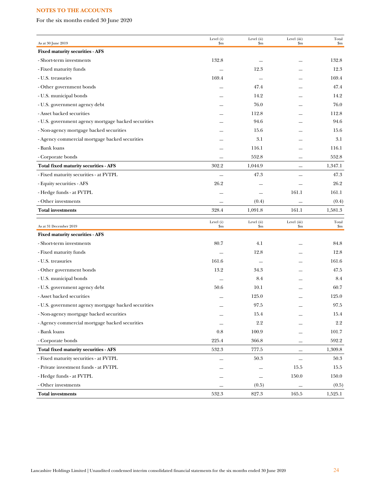For the six months ended 30 June 2020

| As at 30 June 2019                                  | Level (i)<br>\$m | Level (ii)<br>$\mathbf{Sm}$ | Level (iii)<br>\$m                    | Total<br>\$m |
|-----------------------------------------------------|------------------|-----------------------------|---------------------------------------|--------------|
| <b>Fixed maturity securities - AFS</b>              |                  |                             |                                       |              |
| - Short-term investments                            | 132.8            |                             |                                       | 132.8        |
| - Fixed maturity funds                              |                  | 12.3                        |                                       | 12.3         |
| - U.S. treasuries                                   | 169.4            | $\sim$                      |                                       | 169.4        |
| - Other government bonds                            |                  | 47.4                        |                                       | 47.4         |
| - U.S. municipal bonds                              |                  | 14.2                        |                                       | 14.2         |
| - U.S. government agency debt                       |                  | 76.0                        |                                       | 76.0         |
| - Asset backed securities                           |                  | 112.8                       |                                       | 112.8        |
| - U.S. government agency mortgage backed securities |                  | 94.6                        |                                       | 94.6         |
| - Non-agency mortgage backed securities             |                  | 15.6                        |                                       | 15.6         |
| - Agency commercial mortgage backed securities      |                  | 3.1                         |                                       | 3.1          |
| - Bank loans                                        |                  | 116.1                       |                                       | 116.1        |
| - Corporate bonds                                   |                  | 552.8                       |                                       | 552.8        |
| <b>Total fixed maturity securities - AFS</b>        | 302.2            | 1,044.9                     |                                       | 1,347.1      |
| - Fixed maturity securities - at FVTPL              |                  | 47.3                        |                                       | 47.3         |
| - Equity securities - AFS                           | 26.2             |                             |                                       | 26.2         |
| - Hedge funds - at FVTPL                            |                  |                             | 161.1                                 | 161.1        |
| - Other investments                                 | $\equiv$         | (0.4)                       |                                       | (0.4)        |
| <b>Total investments</b>                            | 328.4            | 1,091.8                     | 161.1                                 | 1,581.3      |
| As at 31 December 2019                              | Level (i)<br>\$m | Level (ii)<br>$\mathbf{Sm}$ | Level (iii)<br>$\mathop{\mathrm{Sm}}$ | Total<br>\$m |
| <b>Fixed maturity securities - AFS</b>              |                  |                             |                                       |              |
| - Short-term investments                            | 80.7             | 4.1                         |                                       | 84.8         |
| - Fixed maturity funds                              |                  | 12.8                        |                                       | 12.8         |
| - U.S. treasuries                                   | 161.6            | $\sim$                      |                                       | 161.6        |
| - Other government bonds                            | 13.2             | 34.3                        |                                       | 47.5         |
| - U.S. municipal bonds                              |                  | 8.4                         |                                       | 8.4          |
| - U.S. government agency debt                       | 50.6             | 10.1                        |                                       | 60.7         |
| - Asset backed securities                           |                  | 125.0                       |                                       | 125.0        |
| - U.S. government agency mortgage backed securities |                  | 97.5                        |                                       | 97.5         |
| - Non-agency mortgage backed securities             |                  | 15.4                        |                                       | 15.4         |
| - Agency commercial mortgage backed securities      |                  | 2.2                         |                                       | $2.2\,$      |
| - Bank loans                                        | $0.8\,$          | 100.9                       |                                       | 101.7        |
| - Corporate bonds                                   | 225.4            | 366.8                       |                                       | 592.2        |
| Total fixed maturity securities - AFS               | 532.3            | 777.5                       | —                                     | 1,309.8      |
| - Fixed maturity securities - at FVTPL              |                  | $50.3\,$                    | $\qquad \qquad -$                     | 50.3         |
| - Private investment funds - at FVTPL               |                  |                             | 15.5                                  | 15.5         |
| - Hedge funds - at FVTPL                            |                  |                             | 150.0                                 | 150.0        |
| - Other investments                                 |                  | (0.5)                       |                                       | (0.5)        |
| <b>Total investments</b>                            | 532.3            | 827.3                       | 165.5                                 | 1,525.1      |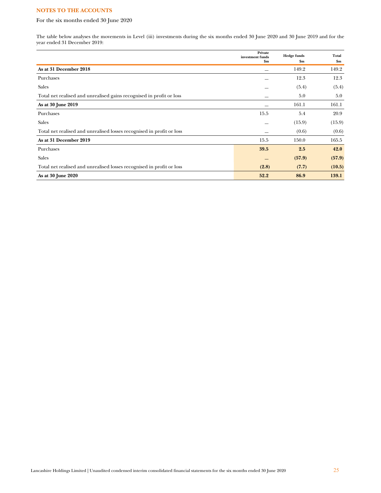# For the six months ended 30 June 2020

The table below analyses the movements in Level (iii) investments during the six months ended 30 June 2020 and 30 June 2019 and for the year ended 31 December 2019:

|                                                                       | Private<br>investment funds | <b>Hedge funds</b> | Total  |
|-----------------------------------------------------------------------|-----------------------------|--------------------|--------|
|                                                                       | \$m                         | $\mathbf{Sm}$      | \$m    |
| As at 31 December 2018                                                |                             | 149.2              | 149.2  |
| Purchases                                                             |                             | 12.3               | 12.3   |
| <b>Sales</b>                                                          |                             | (5.4)              | (5.4)  |
| Total net realised and unrealised gains recognised in profit or loss  |                             | 5.0                | 5.0    |
| As at 30 June 2019                                                    |                             | 161.1              | 161.1  |
| Purchases                                                             | 15.5                        | 5.4                | 20.9   |
| <b>Sales</b>                                                          |                             | (15.9)             | (15.9) |
| Total net realised and unrealised losses recognised in profit or loss |                             | (0.6)              | (0.6)  |
| As at 31 December 2019                                                | 15.5                        | 150.0              | 165.5  |
| Purchases                                                             | 39.5                        | 2.5                | 42.0   |
| <b>Sales</b>                                                          |                             | (57.9)             | (57.9) |
| Total net realised and unrealised losses recognised in profit or loss | (2.8)                       | (7.7)              | (10.5) |
| As at 30 June 2020                                                    | 52.2                        | 86.9               | 139.1  |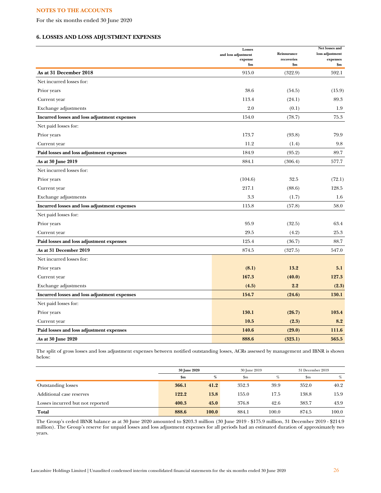For the six months ended 30 June 2020

# **6. LOSSES AND LOSS ADJUSTMENT EXPENSES**

|                                              | Losses<br>and loss adjustment | Reinsurance         | Net losses and<br>loss adjustment |
|----------------------------------------------|-------------------------------|---------------------|-----------------------------------|
|                                              | expense<br>\$m\$              | recoveries<br>\$m\$ | expenses<br>\$m\$                 |
| As at 31 December 2018                       | 915.0                         | (322.9)             | 592.1                             |
| Net incurred losses for:                     |                               |                     |                                   |
| Prior years                                  | 38.6                          | (54.5)              | (15.9)                            |
| Current year                                 | 113.4                         | (24.1)              | 89.3                              |
| Exchange adjustments                         | 2.0                           | (0.1)               | 1.9                               |
| Incurred losses and loss adjustment expenses | 154.0                         | (78.7)              | 75.3                              |
| Net paid losses for:                         |                               |                     |                                   |
| Prior years                                  | 173.7                         | (93.8)              | 79.9                              |
| Current year                                 | 11.2                          | (1.4)               | 9.8                               |
| Paid losses and loss adjustment expenses     | 184.9                         | (95.2)              | 89.7                              |
| As at 30 June 2019                           | 884.1                         | (306.4)             | 577.7                             |
| Net incurred losses for:                     |                               |                     |                                   |
| Prior years                                  | (104.6)                       | 32.5                | (72.1)                            |
| Current year                                 | 217.1                         | (88.6)              | 128.5                             |
| Exchange adjustments                         | 3.3                           | (1.7)               | 1.6                               |
| Incurred losses and loss adjustment expenses | 115.8                         | (57.8)              | 58.0                              |
| Net paid losses for:                         |                               |                     |                                   |
| Prior years                                  | 95.9                          | (32.5)              | 63.4                              |
| Current year                                 | 29.5                          | (4.2)               | 25.3                              |
| Paid losses and loss adjustment expenses     | 125.4                         | (36.7)              | 88.7                              |
| As at 31 December 2019                       | 874.5                         | (327.5)             | 547.0                             |
| Net incurred losses for:                     |                               |                     |                                   |
| Prior years                                  | (8.1)                         | 13.2                | 5.1                               |
| Current year                                 | 167.3                         | (40.0)              | 127.3                             |
| Exchange adjustments                         | (4.5)                         | 2.2                 | (2.3)                             |
| Incurred losses and loss adjustment expenses | 154.7                         | (24.6)              | 130.1                             |
| Net paid losses for:                         |                               |                     |                                   |
| Prior years                                  | 130.1                         | (26.7)              | 103.4                             |
| Current year                                 | 10.5                          | (2.3)               | 8.2                               |
| Paid losses and loss adjustment expenses     | 140.6                         | (29.0)              | 111.6                             |
| As at 30 June 2020                           | 888.6                         | (323.1)             | 565.5                             |

The split of gross losses and loss adjustment expenses between notified outstanding losses, ACRs assessed by management and IBNR is shown below:

|                                  | <b>30 June 2020</b> |       | 30 June 2019 |       | 31 December 2019 |       |
|----------------------------------|---------------------|-------|--------------|-------|------------------|-------|
|                                  | \$m                 | %     | \$m          | %     | $_{\rm Sm}$      | $\%$  |
| <b>Outstanding losses</b>        | 366.1               | 41.2  | 352.3        | 39.9  | 352.0            | 40.2  |
| Additional case reserves         | 122.2               | 13.8  | 155.0        | 17.5  | 138.8            | 15.9  |
| Losses incurred but not reported | 400.3               | 45.0  | 376.8        | 42.6  | 383.7            | 43.9  |
| Total                            | 888.6               | 100.0 | 884.1        | 100.0 | 874.5            | 100.0 |

The Group's ceded IBNR balance as at 30 June 2020 amounted to \$203.3 million (30 June 2019 - \$175.9 million, 31 December 2019 - \$214.9 million). The Group's reserve for unpaid losses and loss adjustment expenses for all periods had an estimated duration of approximately two years.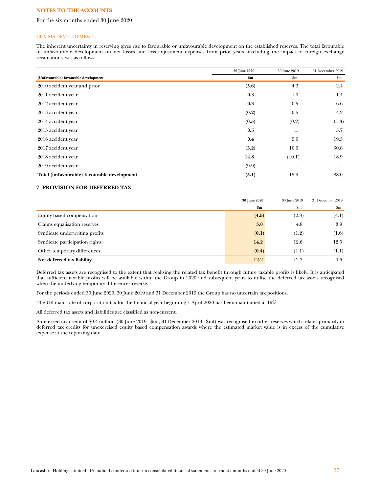# For the six months ended 30 June 2020

#### CLAIMS DEVELOPMENT

The inherent uncertainty in reserving gives rise to favourable or unfavourable development on the established reserves. The total favourable or unfavourable development on net losses and loss adjustment expenses from prior years, excluding the impact of foreign exchange revaluations, was as follows:

|                                             | 30 June 2020 | 30 June 2019 | 31 December 2019       |
|---------------------------------------------|--------------|--------------|------------------------|
| (Unfavourable) favourable development       | \$m\$        | \$m\$        | $\mathop{\mathrm{Sm}}$ |
| 2010 accident year and prior                | (5.6)        | 4.3          | 2.4                    |
| 2011 accident year                          | 0.3          | 1.9          | 1.4                    |
| 2012 accident year                          | 0.3          | 0.5          | 6.6                    |
| 2013 accident year                          | (0.2)        | 0.5          | 4.2                    |
| 2014 accident year                          | (0.5)        | (0.2)        | (1.3)                  |
| 2015 accident year                          | 0.5          |              | 5.7                    |
| 2016 accident year                          | 0.4          | 9.0          | 19.3                   |
| 2017 accident year                          | (5.2)        | 10.0         | 30.8                   |
| 2018 accident year                          | 14.8         | (10.1)       | 18.9                   |
| 2019 accident year                          | (9.9)        |              |                        |
| Total (unfavourable) favourable development | (5.1)        | 15.9         | 88.0                   |

# **7. PROVISION FOR DEFERRED TAX**

|                                | 30 June 2020   | 30 June 2019 | 31 December 2019 |
|--------------------------------|----------------|--------------|------------------|
|                                | $\mathbf{\$m}$ | \$m\$        | $_{\rm Sm}$      |
| Equity based compensation      | (4.5)          | (2.8)        | (4.1)            |
| Claims equalisation reserves   | 3.0            | 4.8          | 3.9              |
| Syndicate underwriting profits | (0.1)          | (1.2)        | (1.6)            |
| Syndicate participation rights | 14.2           | 12.6         | 12.5             |
| Other temporary differences    | (0.4)          | (1.1)        | (1.1)            |
| Net deferred tax liability     | 12.2           | 12.3         | 9.6              |

Deferred tax assets are recognised to the extent that realising the related tax benefit through future taxable profits is likely. It is anticipated that sufficient taxable profits will be available within the Group in 2020 and subsequent years to utilise the deferred tax assets recognised when the underlying temporary differences reverse.

For the periods ended 30 June 2020, 30 June 2019 and 31 December 2019 the Group has no uncertain tax positions.

The UK main rate of corporation tax for the financial year beginning 1 April 2020 has been maintained at 19%.

All deferred tax assets and liabilities are classified as non-current.

A deferred tax credit of \$0.4 million (30 June 2019 - \$nil, 31 December 2019 - \$nil) was recognised in other reserves which relates primarily to deferred tax credits for unexercised equity based compensation awards where the estimated market value is in excess of the cumulative expense at the reporting date.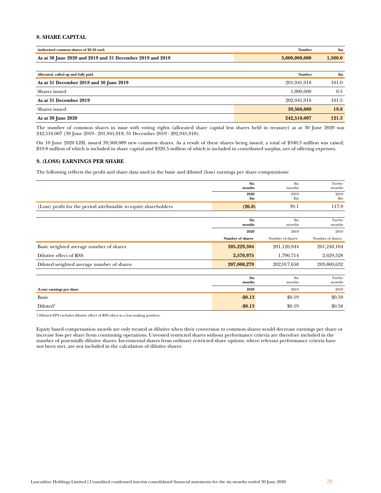# **8. SHARE CAPITAL**

| Authorised common shares of \$0.50 each                   | Number          | \$m    |
|-----------------------------------------------------------|-----------------|--------|
| As at 30 June 2020 and 2019 and 31 December 2019 and 2018 | 0.000, 000, 000 | .500.0 |

| Allocated, called up and fully paid     | <b>Number</b> | \$m   |
|-----------------------------------------|---------------|-------|
| As at 31 December 2018 and 30 June 2019 | 201.941.918   | 101.0 |
| Shares issued                           | 1.000,000     | 0.5   |
| As at 31 December 2019                  | 202.941.918   | 101.5 |
| Shares issued                           | 39,568,089    | 19.8  |
| As at 30 June 2020                      | 242,510,007   | 121.3 |

The number of common shares in issue with voting rights (allocated share capital less shares held in treasury) as at 30 June 2020 was 242,510,007 (30 June 2019 - 201,941,918; 31 December 2019 - 202,941,918).

On 10 June 2020 LHL issued 39,568,089 new common shares. As a result of these shares being issued, a total of \$340.3 million was raised, \$19.8 million of which is included in share capital and \$320.5 million of which is included in contributed surplus, net of offering expenses.

# **9. (LOSS) EARNINGS PER SHARE**

The following reflects the profit and share data used in the basic and diluted (loss) earnings per share computations:

|                                                                  | <b>Six</b><br>months  | Six<br>months       | Twelve<br>months       |
|------------------------------------------------------------------|-----------------------|---------------------|------------------------|
|                                                                  | 2020<br>$\mathbf{Sm}$ | 2019<br>$_{\rm Sm}$ | 2019<br>$\mathbf{\$m}$ |
| (Loss) profit for the period attributable to equity shareholders | (26.0)                | 39.1                | 117.9                  |
|                                                                  |                       |                     |                        |
|                                                                  | <b>Six</b><br>months  | Six<br>months       | Twelve<br>months       |
|                                                                  | 2020                  | 2019                | 2019                   |
|                                                                  | Number of shares      | Number of shares    | Number of shares       |
| Basic weighted average number of shares                          | 205,229,304           | 201,126,944         | 201,240,104            |
| Dilutive effect of RSS                                           | 2,570,975             | 1,790,714           | 2,629,528              |
| Diluted weighted average number of shares                        | 207,800,279           | 202,917,658         | 203,869,632            |
|                                                                  |                       |                     |                        |
|                                                                  | <b>Six</b><br>months  | Six<br>months       | Twelve<br>months       |
| (Loss) earnings per share                                        | 2020                  | 2019                | 2019                   |
| Basic                                                            | $-$0.13$              | \$0.19              | \$0.59                 |
| Diluted <sup>1</sup>                                             | $-$0.13$              | \$0.19              | \$0.58                 |

1.Diluted EPS excludes dilutive effect of RSS when in a loss making position.

Equity based compensation awards are only treated as dilutive when their conversion to common shares would decrease earnings per share or increase loss per share from continuing operations. Unvested restricted shares without performance criteria are therefore included in the number of potentially dilutive shares. Incremental shares from ordinary restricted share options, where relevant performance criteria have not been met, are not included in the calculation of dilutive shares.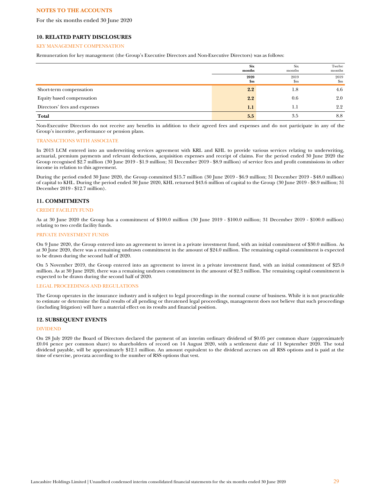For the six months ended 30 June 2020

# **10. RELATED PARTY DISCLOSURES**

#### KEY MANAGEMENT COMPENSATION

Remuneration for key management (the Group's Executive Directors and Non-Executive Directors) was as follows:

|                              | <b>Six</b><br>months  | Six<br>months       | Twelve<br>months       |
|------------------------------|-----------------------|---------------------|------------------------|
|                              | 2020<br>$\mathbf{Sm}$ | 2019<br>$_{\rm Sm}$ | 2019<br>$\mathbf{S}$ m |
| Short-term compensation      | 2.2                   | 1.8                 | 4.6                    |
| Equity based compensation    | 2.2                   | 0.6                 | 2.0                    |
| Directors' fees and expenses | 1.1                   | 1.1                 | $2.2^{\circ}$          |
| Total                        | 5.5                   | 3.5                 | 8.8                    |

Non-Executive Directors do not receive any benefits in addition to their agreed fees and expenses and do not participate in any of the Group's incentive, performance or pension plans.

### TRANSACTIONS WITH ASSOCIATE

In 2013 LCM entered into an underwriting services agreement with KRL and KHL to provide various services relating to underwriting, actuarial, premium payments and relevant deductions, acquisition expenses and receipt of claims. For the period ended 30 June 2020 the Group recognised \$2.7 million (30 June 2019 - \$1.9 million; 31 December 2019 - \$8.9 million) of service fees and profit commissions in other income in relation to this agreement.

During the period ended 30 June 2020, the Group committed \$15.7 million (30 June 2019 - \$6.9 million; 31 December 2019 - \$48.0 million) of capital to KHL. During the period ended 30 June 2020, KHL returned \$43.6 million of capital to the Group (30 June 2019 - \$8.9 million; 31 December 2019 - \$12.7 million).

# **11. COMMITMENTS**

#### CREDIT FACILITY FUND

As at 30 June 2020 the Group has a commitment of \$100.0 million (30 June 2019 - \$100.0 million; 31 December 2019 - \$100.0 million) relating to two credit facility funds.

### PRIVATE INVESTMENT FUNDS

On 9 June 2020, the Group entered into an agreement to invest in a private investment fund, with an initial commitment of \$30.0 million. As at 30 June 2020, there was a remaining undrawn commitment in the amount of \$24.0 million. The remaining capital commitment is expected to be drawn during the second half of 2020.

On 5 November 2019, the Group entered into an agreement to invest in a private investment fund, with an initial commitment of \$25.0 million. As at 30 June 2020, there was a remaining undrawn commitment in the amount of \$2.3 million. The remaining capital commitment is expected to be drawn during the second half of 2020.

### LEGAL PROCEEDINGS AND REGULATIONS

The Group operates in the insurance industry and is subject to legal proceedings in the normal course of business. While it is not practicable to estimate or determine the final results of all pending or threatened legal proceedings, management does not believe that such proceedings (including litigation) will have a material effect on its results and financial position.

### **12. SUBSEQUENT EVENTS**

# DIVIDEND

On 28 July 2020 the Board of Directors declared the payment of an interim ordinary dividend of \$0.05 per common share (approximately £0.04 pence per common share) to shareholders of record on 14 August 2020, with a settlement date of 11 September 2020. The total dividend payable, will be approximately \$12.1 million. An amount equivalent to the dividend accrues on all RSS options and is paid at the time of exercise, pro-rata according to the number of RSS options that vest.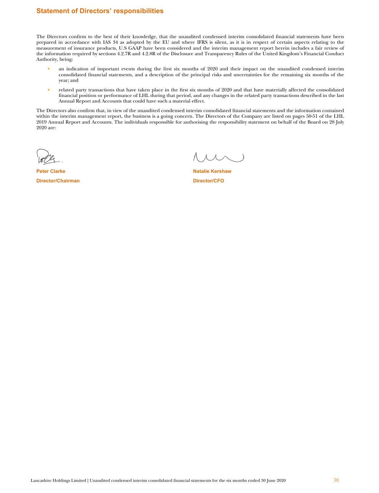# **Statement of Directors' responsibilities**

The Directors confirm to the best of their knowledge, that the unaudited condensed interim consolidated financial statements have been prepared in accordance with IAS 34 as adopted by the EU and where IFRS is silent, as it is in respect of certain aspects relating to the measurement of insurance products, U.S GAAP have been considered and the interim management report herein includes a fair review of the information required by sections 4.2.7R and 4.2.8R of the Disclosure and Transparency Rules of the United Kingdom's Financial Conduct Authority, being:

- an indication of important events during the first six months of 2020 and their impact on the unaudited condensed interim consolidated financial statements, and a description of the principal risks and uncertainties for the remaining six months of the year; and
- related party transactions that have taken place in the first six months of 2020 and that have materially affected the consolidated financial position or performance of LHL during that period, and any changes in the related party transactions described in the last Annual Report and Accounts that could have such a material effect.

The Directors also confirm that, in view of the unaudited condensed interim consolidated financial statements and the information contained within the interim management report, the business is a going concern. The Directors of the Company are listed on pages 50-51 of the LHL 2019 Annual Report and Accounts. The individuals responsible for authorising the responsibility statement on behalf of the Board on 28 July 2020 are:

**Director/Chairman Director/CFO** 

**Peter Clarke Natalie Kershaw** Natalie Kershaw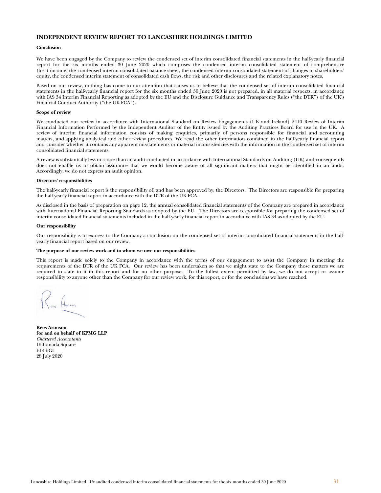# **INDEPENDENT REVIEW REPORT TO LANCASHIRE HOLDINGS LIMITED**

### **Conclusion**

We have been engaged by the Company to review the condensed set of interim consolidated financial statements in the half-yearly financial report for the six months ended 30 June 2020 which comprises the condensed interim consolidated statement of comprehensive (loss) income, the condensed interim consolidated balance sheet, the condensed interim consolidated statement of changes in shareholders' equity, the condensed interim statement of consolidated cash flows, the risk and other disclosures and the related explanatory notes.

Based on our review, nothing has come to our attention that causes us to believe that the condensed set of interim consolidated financial statements in the half-yearly financial report for the six months ended 30 June 2020 is not prepared, in all material respects, in accordance with IAS 34 Interim Financial Reporting as adopted by the EU and the Disclosure Guidance and Transparency Rules ("the DTR") of the UK's Financial Conduct Authority ("the UK FCA").

### **Scope of review**

We conducted our review in accordance with International Standard on Review Engagements (UK and Ireland) 2410 Review of Interim Financial Information Performed by the Independent Auditor of the Entity issued by the Auditing Practices Board for use in the UK. A review of interim financial information consists of making enquiries, primarily of persons responsible for financial and accounting matters, and applying analytical and other review procedures. We read the other information contained in the half-yearly financial report and consider whether it contains any apparent misstatements or material inconsistencies with the information in the condensed set of interim consolidated financial statements.

A review is substantially less in scope than an audit conducted in accordance with International Standards on Auditing (UK) and consequently does not enable us to obtain assurance that we would become aware of all significant matters that might be identified in an audit. Accordingly, we do not express an audit opinion.

## **Directors' responsibilities**

The half-yearly financial report is the responsibility of, and has been approved by, the Directors. The Directors are responsible for preparing the half-yearly financial report in accordance with the DTR of the UK FCA.

As disclosed in the basis of preparation on page 12, the annual consolidated financial statements of the Company are prepared in accordance with International Financial Reporting Standards as adopted by the EU. The Directors are responsible for preparing the condensed set of interim consolidated financial statements included in the half-yearly financial report in accordance with IAS 34 as adopted by the EU.

#### **Our responsibility**

Our responsibility is to express to the Company a conclusion on the condensed set of interim consolidated financial statements in the halfyearly financial report based on our review.

#### **The purpose of our review work and to whom we owe our responsibilities**

This report is made solely to the Company in accordance with the terms of our engagement to assist the Company in meeting the requirements of the DTR of the UK FCA. Our review has been undertaken so that we might state to the Company those matters we are required to state to it in this report and for no other purpose. To the fullest extent permitted by law, we do not accept or assume responsibility to anyone other than the Company for our review work, for this report, or for the conclusions we have reached.

**Rees Aronson for and on behalf of KPMG LLP**  *Chartered Accountants* 15 Canada Square E14 5GL 28 July 2020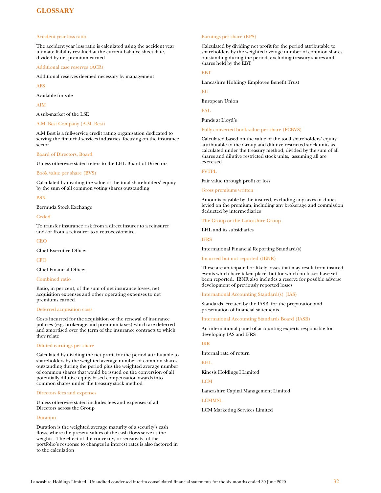# <span id="page-31-0"></span>**GLOSSARY**

#### Accident year loss ratio

The accident year loss ratio is calculated using the accident year ultimate liability revalued at the current balance sheet date, divided by net premium earned

#### Additional case reserves (ACR)

Additional reserves deemed necessary by management

AFS

Available for sale

AIM

A sub-market of the LSE

### A.M. Best Company (A.M. Best)

A.M Best is a full-service credit rating organisation dedicated to serving the financial services industries, focusing on the insurance sector

### Board of Directors, Board

Unless otherwise stated refers to the LHL Board of Directors

### Book value per share (BVS)

Calculated by dividing the value of the total shareholders' equity by the sum of all common voting shares outstanding

### **BSX**

Bermuda Stock Exchange

Ceded

To transfer insurance risk from a direct insurer to a reinsurer and/or from a reinsurer to a retrocessionaire

**CEO** 

Chief Executive Officer

**CFO** 

Chief Financial Officer

#### Combined ratio

Ratio, in per cent, of the sum of net insurance losses, net acquisition expenses and other operating expenses to net premiums earned

### Deferred acquisition costs

Costs incurred for the acquisition or the renewal of insurance policies (e.g. brokerage and premium taxes) which are deferred and amortised over the term of the insurance contracts to which they relate

### Diluted earnings per share

Calculated by dividing the net profit for the period attributable to shareholders by the weighted average number of common shares outstanding during the period plus the weighted average number of common shares that would be issued on the conversion of all potentially dilutive equity based compensation awards into common shares under the treasury stock method

### Directors fees and expenses

Unless otherwise stated includes fees and expenses of all Directors across the Group

#### Duration

Duration is the weighted average maturity of a security's cash flows, where the present values of the cash flows serve as the weights. The effect of the convexity, or sensitivity, of the portfolio's response to changes in interest rates is also factored in to the calculation

# Earnings per share (EPS)

Calculated by dividing net profit for the period attributable to shareholders by the weighted average number of common shares outstanding during the period, excluding treasury shares and shares held by the EBT

# EBT

Lancashire Holdings Employee Benefit Trust

EU

European Union

FAL

Funds at Lloyd's

Fully converted book value per share (FCBVS)

Calculated based on the value of the total shareholders' equity attributable to the Group and dilutive restricted stock units as calculated under the treasury method, divided by the sum of all shares and dilutive restricted stock units, assuming all are exercised

#### FVTPL

Fair value through profit or loss

Gross premiums written

Amounts payable by the insured, excluding any taxes or duties levied on the premium, including any brokerage and commission deducted by intermediaries

# The Group or the Lancashire Group

LHL and its subsidiaries

#### IFRS

International Financial Reporting Standard(s)

#### Incurred but not reported (IBNR)

These are anticipated or likely losses that may result from insured events which have taken place, but for which no losses have yet been reported. IBNR also includes a reserve for possible adverse development of previously reported losses

International Accounting Standard(s) (IAS)

[Standards,](http://www.businessdictionary.com/definition/standards.html) created by the IASB, for the [preparation](http://www.businessdictionary.com/definition/preparation.html) and [presentation](http://www.businessdictionary.com/definition/presentation.html) of [financial statements](http://www.businessdictionary.com/definition/financial-statement.html)

[International Accounting Standards Board \(IASB\)](http://www.businessdictionary.com/definition/International-Accounting-Standards-Committee-IASC.html) 

An international panel of accounting experts responsible for developing IAS and IFRS

# IRR

Internal rate of return

KHL

Kinesis Holdings I Limited

### LCM

Lancashire Capital Management Limited

# **LCMMSL**

LCM Marketing Services Limited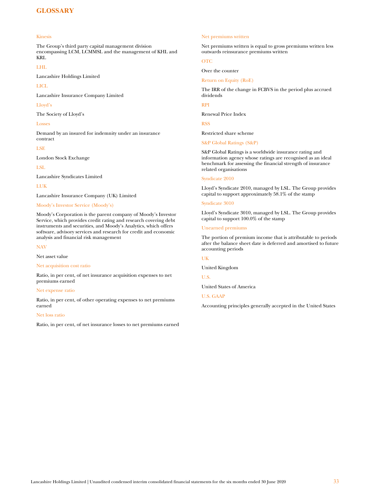# **GLOSSARY**

### Kinesis

The Group's third party capital management division encompassing LCM, LCMMSL and the management of KHL and KRL

### LHL

Lancashire Holdings Limited

### LICL

Lancashire Insurance Company Limited

#### Lloyd's

The Society of Lloyd's

#### Losses

Demand by an insured for indemnity under an insurance contract

### LSE

London Stock Exchange

LSL

Lancashire Syndicates Limited

### LUK

Lancashire Insurance Company (UK) Limited

### Moody's Investor Service (Moody's)

Moody's Corporation is the parent company of Moody's Investor Service, which provides credit rating and research covering debt instruments and securities, and Moody's Analytics, which offers software, advisory services and research for credit and economic analysis and financial risk management

# NAV

Net asset value

# Net acquisition cost ratio

Ratio, in per cent, of net insurance acquisition expenses to net premiums earned

#### Net expense ratio

Ratio, in per cent, of other operating expenses to net premiums earned

#### Net loss ratio

Ratio, in per cent, of net insurance losses to net premiums earned

### Net premiums written

Net premiums written is equal to gross premiums written less outwards reinsurance premiums written

# OTC

Return on Equity (RoE)

Over the counter

The IRR of the change in FCBVS in the period plus accrued dividends

### RPI

Renewal Price Index

RSS

Restricted share scheme

S&P Global Ratings (S&P)

S&P Global Ratings is a worldwide insurance rating and information agency whose ratings are recognised as an ideal benchmark for assessing the financial strength of insurance related organisations

### Syndicate 2010

Lloyd's Syndicate 2010, managed by LSL. The Group provides capital to support approximately 58.1% of the stamp

#### Syndicate 3010

Lloyd's Syndicate 3010, managed by LSL. The Group provides capital to support 100.0% of the stamp

#### Unearned premiums

The portion of premium income that is attributable to periods after the balance sheet date is deferred and amortised to future accounting periods

### UK

United Kingdom

U.S.

United States of America

# U.S. GAAP

Accounting principles generally accepted in the United States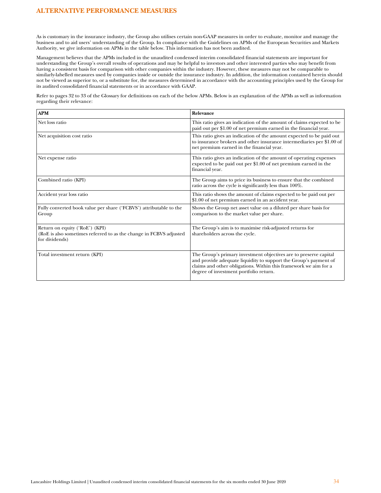As is customary in the insurance industry, the Group also utilises certain non-GAAP measures in order to evaluate, monitor and manage the business and to aid users' understanding of the Group. In compliance with the Guidelines on APMs of the European Securities and Markets Authority, we give information on APMs in the table below. This information has not been audited.

Management believes that the APMs included in the unaudited condensed interim consolidated financial statements are important for understanding the Group's overall results of operations and may be helpful to investors and other interested parties who may benefit from having a consistent basis for comparison with other companies within the industry. However, these measures may not be comparable to similarly-labelled measures used by companies inside or outside the insurance industry. In addition, the information contained herein should not be viewed as superior to, or a substitute for, the measures determined in accordance with the accounting principles used by the Group for its audited consolidated financial statements or in accordance with GAAP.

Refer to pages 32 to 33 of the Glossary for definitions on each of the below APMs. Below is an explanation of the APMs as well as information regarding their relevance:

| <b>APM</b>                                                                                                             | Relevance                                                                                                                                                                                                                                           |
|------------------------------------------------------------------------------------------------------------------------|-----------------------------------------------------------------------------------------------------------------------------------------------------------------------------------------------------------------------------------------------------|
| Net loss ratio                                                                                                         | This ratio gives an indication of the amount of claims expected to be<br>paid out per \$1.00 of net premium earned in the financial year.                                                                                                           |
| Net acquisition cost ratio                                                                                             | This ratio gives an indication of the amount expected to be paid out<br>to insurance brokers and other insurance intermediaries per \$1.00 of<br>net premium earned in the financial year.                                                          |
| Net expense ratio                                                                                                      | This ratio gives an indication of the amount of operating expenses<br>expected to be paid out per \$1.00 of net premium earned in the<br>financial year.                                                                                            |
| Combined ratio (KPI)                                                                                                   | The Group aims to price its business to ensure that the combined<br>ratio across the cycle is significantly less than 100%.                                                                                                                         |
| Accident year loss ratio                                                                                               | This ratio shows the amount of claims expected to be paid out per<br>\$1.00 of net premium earned in an accident year.                                                                                                                              |
| Fully converted book value per share ('FCBVS') attributable to the<br>Group                                            | Shows the Group net asset value on a diluted per share basis for<br>comparison to the market value per share.                                                                                                                                       |
| Return on equity ('RoE') (KPI)<br>(RoE is also sometimes referred to as the change in FCBVS adjusted<br>for dividends) | The Group's aim is to maximise risk-adjusted returns for<br>shareholders across the cycle.                                                                                                                                                          |
| Total investment return (KPI)                                                                                          | The Group's primary investment objectives are to preserve capital<br>and provide adequate liquidity to support the Group's payment of<br>claims and other obligations. Within this framework we aim for a<br>degree of investment portfolio return. |